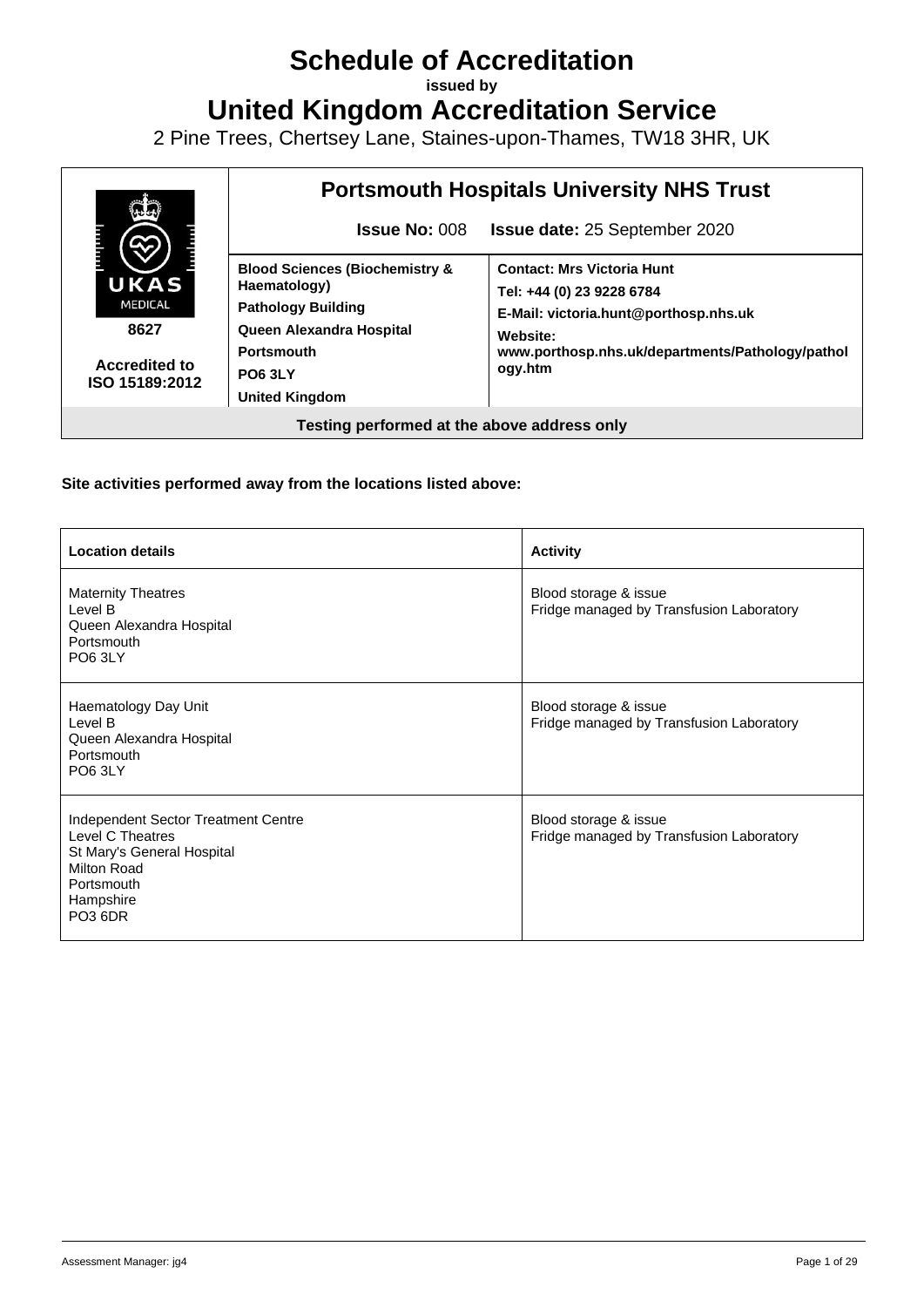# **Schedule of Accreditation**

**issued by**

**United Kingdom Accreditation Service**

2 Pine Trees, Chertsey Lane, Staines-upon-Thames, TW18 3HR, UK



#### **Site activities performed away from the locations listed above:**

| <b>Location details</b>                                                                                                                                | <b>Activity</b>                                                   |
|--------------------------------------------------------------------------------------------------------------------------------------------------------|-------------------------------------------------------------------|
| <b>Maternity Theatres</b><br>Level B<br>Queen Alexandra Hospital<br>Portsmouth<br><b>PO6 3LY</b>                                                       | Blood storage & issue<br>Fridge managed by Transfusion Laboratory |
| Haematology Day Unit<br>Level B<br>Queen Alexandra Hospital<br>Portsmouth<br><b>PO6 3LY</b>                                                            | Blood storage & issue<br>Fridge managed by Transfusion Laboratory |
| Independent Sector Treatment Centre<br>Level C Theatres<br>St Mary's General Hospital<br>Milton Road<br>Portsmouth<br>Hampshire<br>PO <sub>3</sub> 6DR | Blood storage & issue<br>Fridge managed by Transfusion Laboratory |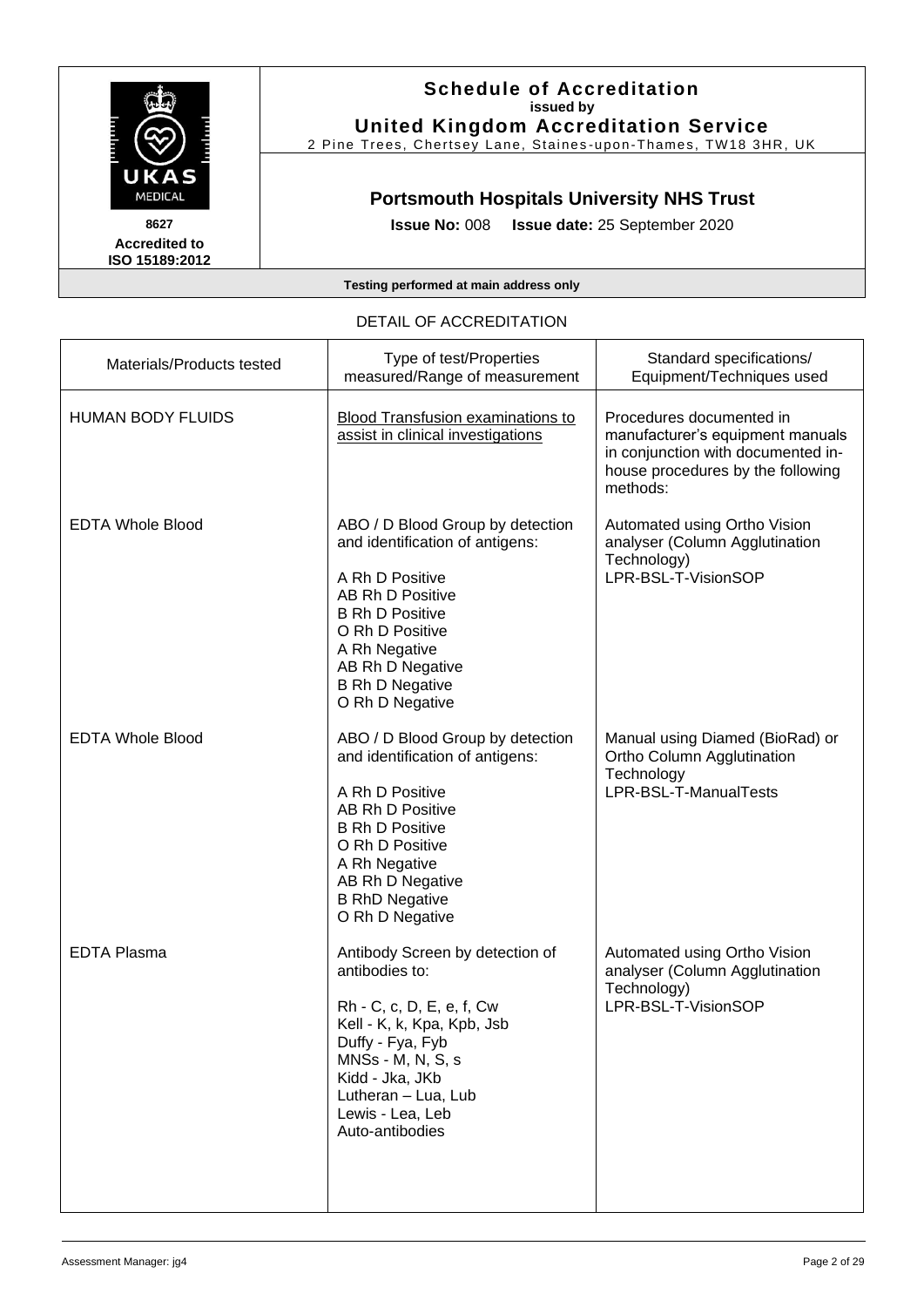

#### **Schedule of Accreditation issued by United Kingdom Accreditation Service**

2 Pine Trees, Chertsey Lane, Staines -upon -Thames, TW18 3HR, UK

### **Portsmouth Hospitals University NHS Trust**

**Issue No:** 008 **Issue date:** 25 September 2020

**Testing performed at main address only**

#### Materials/Products tested Type of test/Properties measured/Range of measurement Standard specifications/ Equipment/Techniques used HUMAN BODY FLUIDS Blood Transfusion examinations to assist in clinical investigations Procedures documented in manufacturer's equipment manuals in conjunction with documented inhouse procedures by the following methods: EDTA Whole Blood **ABO** / D Blood Group by detection and identification of antigens: A Rh D Positive AB Rh D Positive B Rh D Positive O Rh D Positive A Rh Negative AB Rh D Negative B Rh D Negative O Rh D Negative Automated using Ortho Vision analyser (Column Agglutination Technology) LPR-BSL-T-VisionSOP EDTA Whole Blood <br>ABO / D Blood Group by detection and identification of antigens: A Rh D Positive AB Rh D Positive B Rh D Positive O Rh D Positive A Rh Negative AB Rh D Negative B RhD Negative O Rh D Negative Manual using Diamed (BioRad) or Ortho Column Agglutination **Technology** LPR-BSL-T-ManualTests EDTA Plasma Antibody Screen by detection of antibodies to: Rh - C, c, D, E, e, f, Cw Kell - K, k, Kpa, Kpb, Jsb Duffy - Fya, Fyb MNSs - M, N, S, s Kidd - Jka, JKb Lutheran – Lua, Lub Lewis - Lea, Leb Auto-antibodies Automated using Ortho Vision analyser (Column Agglutination Technology) LPR-BSL-T-VisionSOP

#### DETAIL OF ACCREDITATION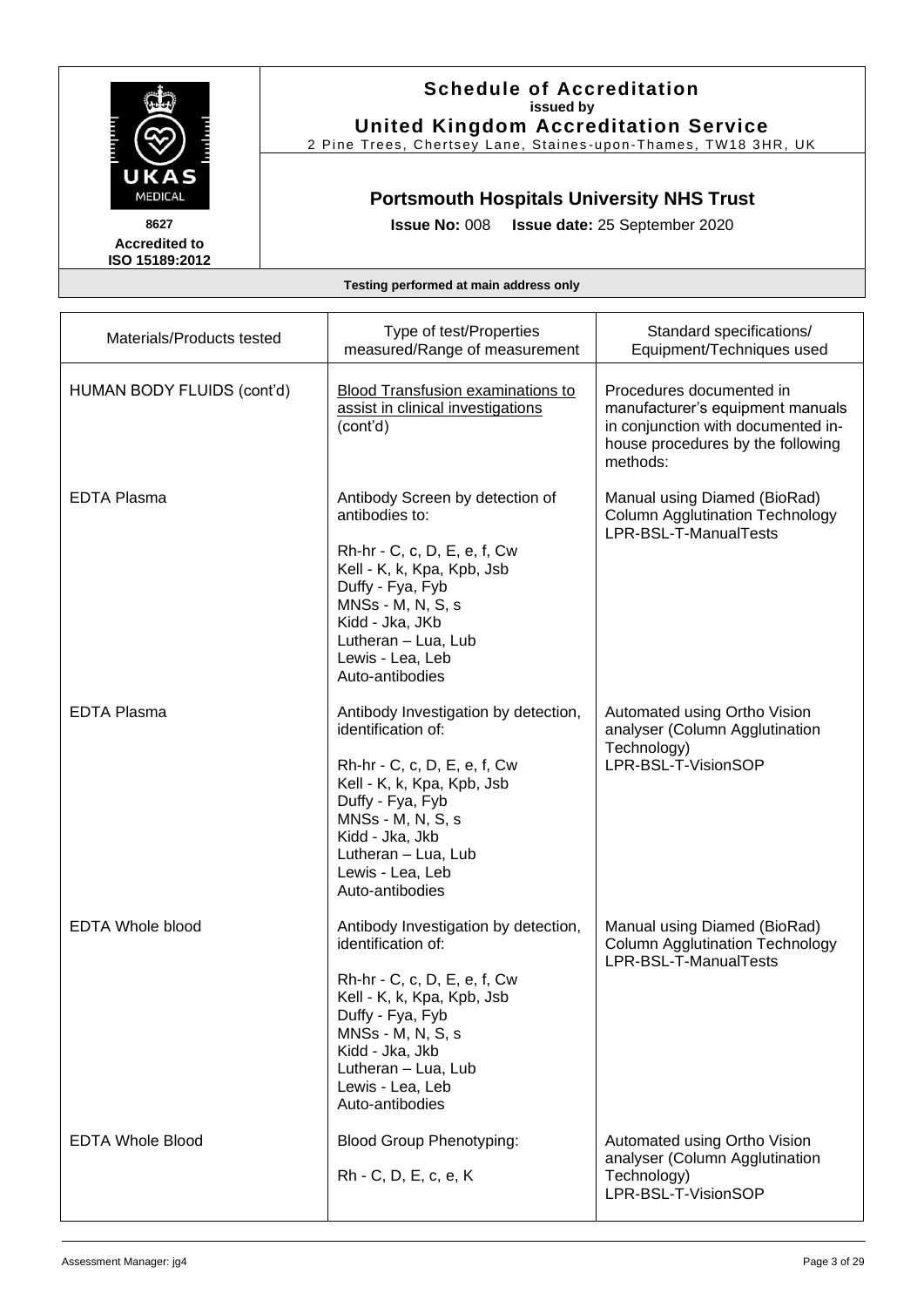

#### **Schedule of Accreditation issued by United Kingdom Accreditation Service**

2 Pine Trees, Chertsey Lane, Staines-upon-Thames, TW18 3HR, UK

## **Portsmouth Hospitals University NHS Trust**

**Issue No:** 008 **Issue date:** 25 September 2020

| Materials/Products tested  | Type of test/Properties<br>measured/Range of measurement                                                                                                                                                                                           | Standard specifications/<br>Equipment/Techniques used                                                                                               |
|----------------------------|----------------------------------------------------------------------------------------------------------------------------------------------------------------------------------------------------------------------------------------------------|-----------------------------------------------------------------------------------------------------------------------------------------------------|
| HUMAN BODY FLUIDS (cont'd) | <b>Blood Transfusion examinations to</b><br>assist in clinical investigations<br>(cont'd)                                                                                                                                                          | Procedures documented in<br>manufacturer's equipment manuals<br>in conjunction with documented in-<br>house procedures by the following<br>methods: |
| <b>EDTA Plasma</b>         | Antibody Screen by detection of<br>antibodies to:<br>Rh-hr - C, c, D, E, e, f, Cw<br>Kell - K, k, Kpa, Kpb, Jsb<br>Duffy - Fya, Fyb<br>MNSs - M, N, S, s<br>Kidd - Jka, JKb<br>Lutheran - Lua, Lub<br>Lewis - Lea, Leb<br>Auto-antibodies          | Manual using Diamed (BioRad)<br><b>Column Agglutination Technology</b><br>LPR-BSL-T-ManualTests                                                     |
| <b>EDTA Plasma</b>         | Antibody Investigation by detection,<br>identification of:<br>Rh-hr - C, c, D, E, e, f, Cw<br>Kell - K, k, Kpa, Kpb, Jsb<br>Duffy - Fya, Fyb<br>MNSs - M, N, S, s<br>Kidd - Jka, Jkb<br>Lutheran - Lua, Lub<br>Lewis - Lea, Leb<br>Auto-antibodies | Automated using Ortho Vision<br>analyser (Column Agglutination<br>Technology)<br>LPR-BSL-T-VisionSOP                                                |
| <b>EDTA Whole blood</b>    | Antibody Investigation by detection,<br>identification of:<br>Rh-hr - C, c, D, E, e, f, Cw<br>Kell - K, k, Kpa, Kpb, Jsb<br>Duffy - Fya, Fyb<br>MNSs - M, N, S, s<br>Kidd - Jka, Jkb<br>Lutheran - Lua, Lub<br>Lewis - Lea, Leb<br>Auto-antibodies | Manual using Diamed (BioRad)<br><b>Column Agglutination Technology</b><br>LPR-BSL-T-ManualTests                                                     |
| <b>EDTA Whole Blood</b>    | <b>Blood Group Phenotyping:</b><br>Rh - C, D, E, c, e, K                                                                                                                                                                                           | Automated using Ortho Vision<br>analyser (Column Agglutination<br>Technology)<br>LPR-BSL-T-VisionSOP                                                |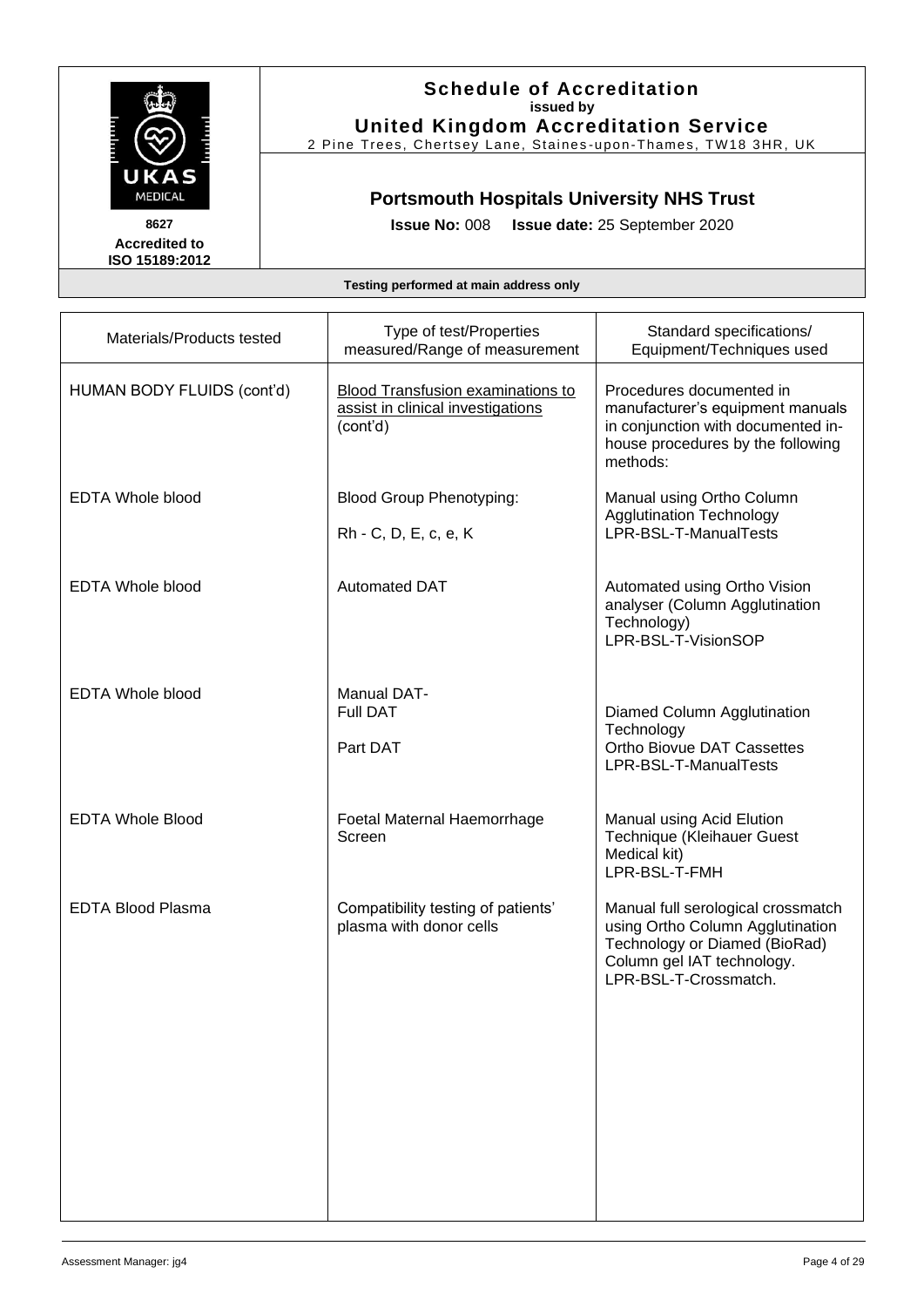

#### **Schedule of Accreditation issued by United Kingdom Accreditation Service**

2 Pine Trees, Chertsey Lane, Staines -upon -Thames, TW18 3HR, UK

## **Portsmouth Hospitals University NHS Trust**

**Issue No:** 008 **Issue date:** 25 September 2020

| Materials/Products tested  | Type of test/Properties<br>measured/Range of measurement                           | Standard specifications/<br>Equipment/Techniques used                                                                                                          |
|----------------------------|------------------------------------------------------------------------------------|----------------------------------------------------------------------------------------------------------------------------------------------------------------|
| HUMAN BODY FLUIDS (cont'd) | Blood Transfusion examinations to<br>assist in clinical investigations<br>(cont'd) | Procedures documented in<br>manufacturer's equipment manuals<br>in conjunction with documented in-<br>house procedures by the following<br>methods:            |
| <b>EDTA Whole blood</b>    | <b>Blood Group Phenotyping:</b><br>Rh - C, D, E, c, e, K                           | Manual using Ortho Column<br><b>Agglutination Technology</b><br>LPR-BSL-T-ManualTests                                                                          |
| <b>EDTA Whole blood</b>    | <b>Automated DAT</b>                                                               | Automated using Ortho Vision<br>analyser (Column Agglutination<br>Technology)<br>LPR-BSL-T-VisionSOP                                                           |
| <b>EDTA Whole blood</b>    | <b>Manual DAT-</b><br><b>Full DAT</b><br>Part DAT                                  | Diamed Column Agglutination<br>Technology<br>Ortho Biovue DAT Cassettes<br>LPR-BSL-T-ManualTests                                                               |
| <b>EDTA Whole Blood</b>    | Foetal Maternal Haemorrhage<br>Screen                                              | Manual using Acid Elution<br>Technique (Kleihauer Guest<br>Medical kit)<br>LPR-BSL-T-FMH                                                                       |
| <b>EDTA Blood Plasma</b>   | Compatibility testing of patients'<br>plasma with donor cells                      | Manual full serological crossmatch<br>using Ortho Column Agglutination<br>Technology or Diamed (BioRad)<br>Column gel IAT technology.<br>LPR-BSL-T-Crossmatch. |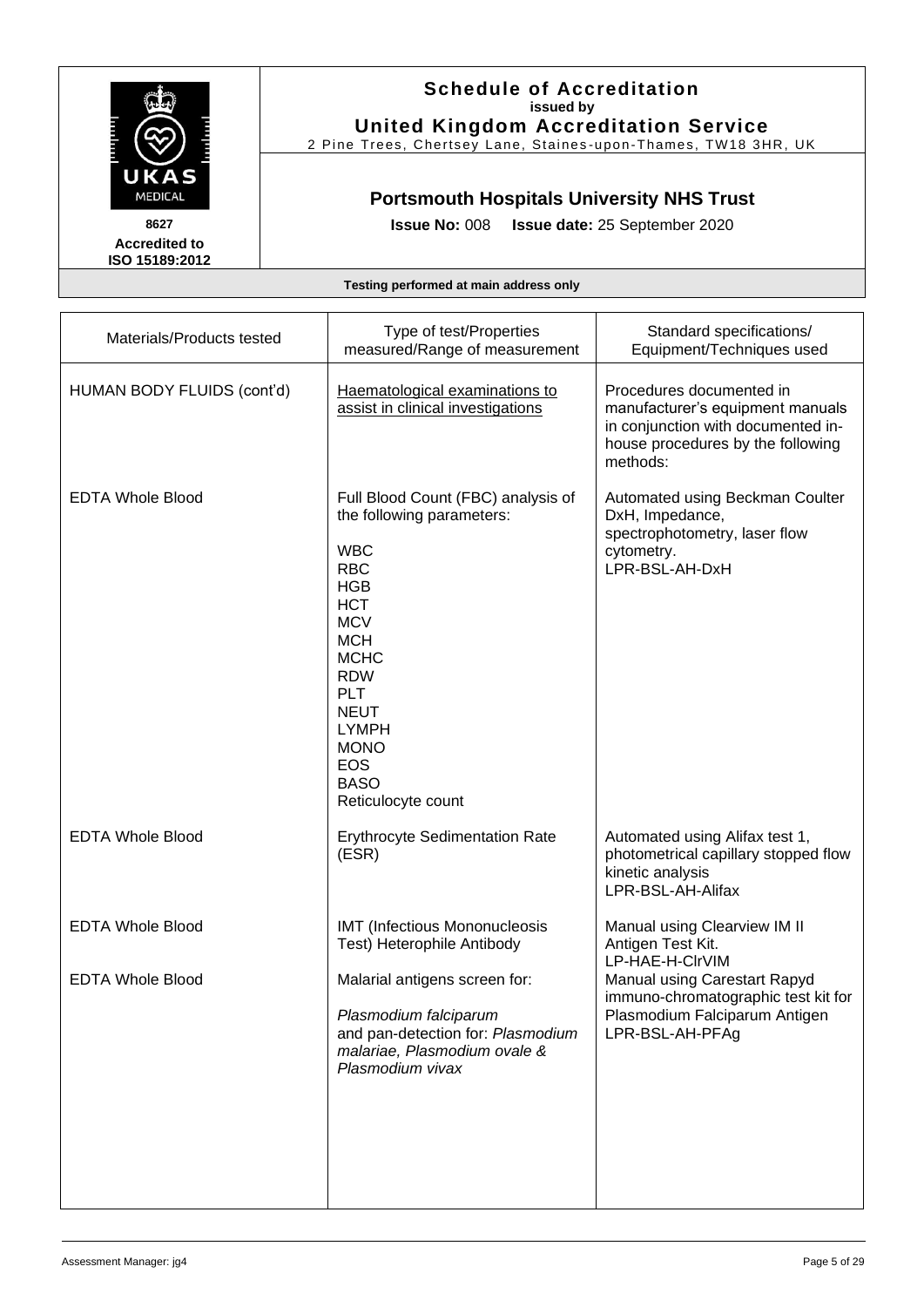

#### **Schedule of Accreditation issued by United Kingdom Accreditation Service**

2 Pine Trees, Chertsey Lane, Staines -upon -Thames, TW18 3HR, UK

# **Portsmouth Hospitals University NHS Trust**

**Issue No:** 008 **Issue date:** 25 September 2020

| Materials/Products tested  | Type of test/Properties<br>measured/Range of measurement                                                                                                                                                                                                                                        | Standard specifications/<br>Equipment/Techniques used                                                                                               |
|----------------------------|-------------------------------------------------------------------------------------------------------------------------------------------------------------------------------------------------------------------------------------------------------------------------------------------------|-----------------------------------------------------------------------------------------------------------------------------------------------------|
| HUMAN BODY FLUIDS (cont'd) | Haematological examinations to<br>assist in clinical investigations                                                                                                                                                                                                                             | Procedures documented in<br>manufacturer's equipment manuals<br>in conjunction with documented in-<br>house procedures by the following<br>methods: |
| <b>EDTA Whole Blood</b>    | Full Blood Count (FBC) analysis of<br>the following parameters:<br><b>WBC</b><br><b>RBC</b><br><b>HGB</b><br><b>HCT</b><br><b>MCV</b><br><b>MCH</b><br><b>MCHC</b><br><b>RDW</b><br><b>PLT</b><br><b>NEUT</b><br><b>LYMPH</b><br><b>MONO</b><br><b>EOS</b><br><b>BASO</b><br>Reticulocyte count | Automated using Beckman Coulter<br>DxH, Impedance,<br>spectrophotometry, laser flow<br>cytometry.<br>LPR-BSL-AH-DxH                                 |
| <b>EDTA Whole Blood</b>    | <b>Erythrocyte Sedimentation Rate</b><br>(ESR)                                                                                                                                                                                                                                                  | Automated using Alifax test 1,<br>photometrical capillary stopped flow<br>kinetic analysis<br>LPR-BSL-AH-Alifax                                     |
| <b>EDTA Whole Blood</b>    | <b>IMT (Infectious Mononucleosis</b><br>Test) Heterophile Antibody                                                                                                                                                                                                                              | Manual using Clearview IM II<br>Antigen Test Kit.<br>LP-HAE-H-CIrVIM                                                                                |
| <b>EDTA Whole Blood</b>    | Malarial antigens screen for:<br>Plasmodium falciparum<br>and pan-detection for: Plasmodium<br>malariae, Plasmodium ovale &<br>Plasmodium vivax                                                                                                                                                 | Manual using Carestart Rapyd<br>immuno-chromatographic test kit for<br>Plasmodium Falciparum Antigen<br>LPR-BSL-AH-PFAg                             |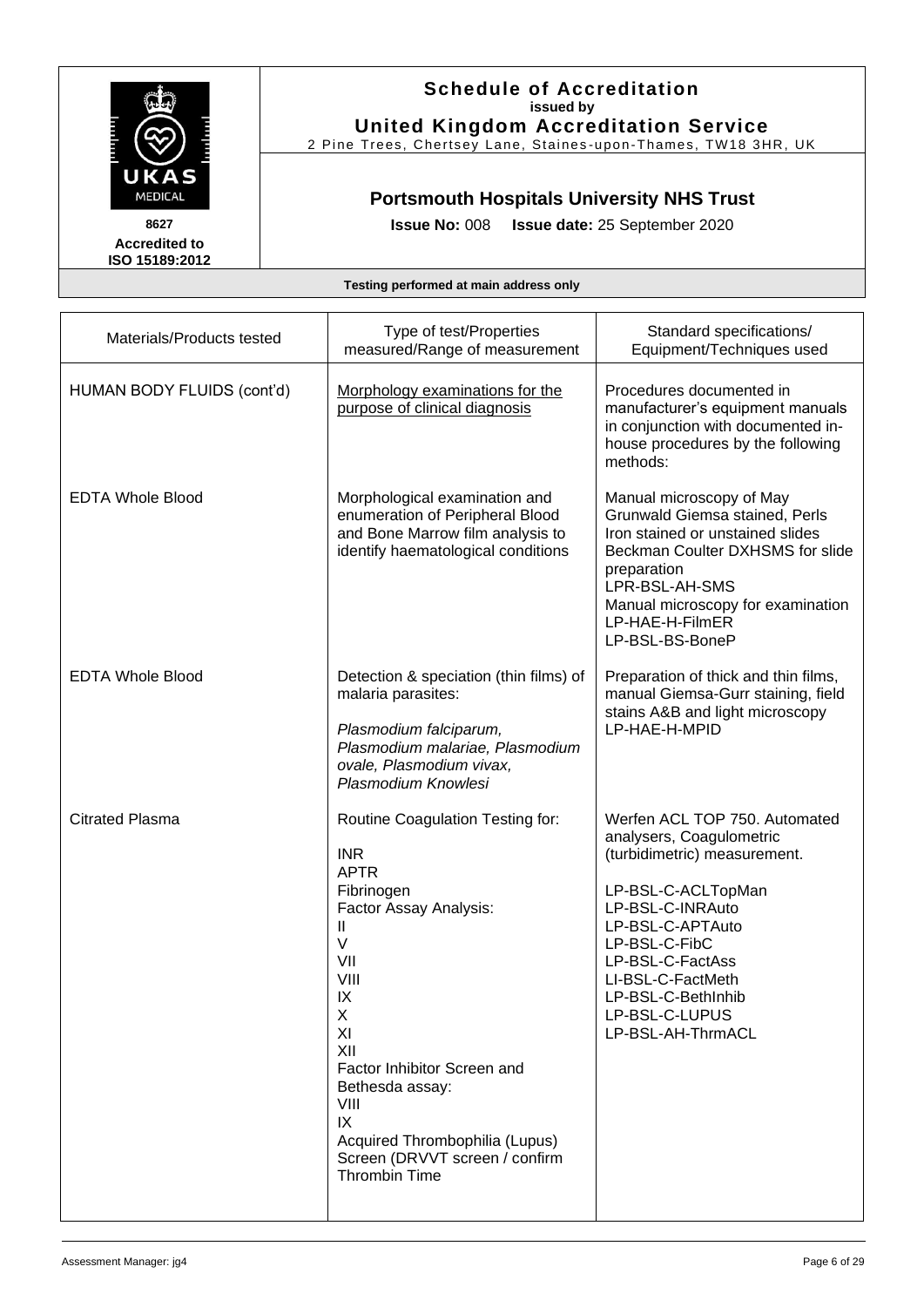

**Schedule of Accreditation issued by United Kingdom Accreditation Service**

2 Pine Trees, Chertsey Lane, Staines -upon -Thames, TW18 3HR, UK

## **Portsmouth Hospitals University NHS Trust**

**Issue No:** 008 **Issue date:** 25 September 2020

| Materials/Products tested  | Type of test/Properties<br>measured/Range of measurement                                                                                                                                                                                                                                                                | Standard specifications/<br>Equipment/Techniques used                                                                                                                                                                                                                          |
|----------------------------|-------------------------------------------------------------------------------------------------------------------------------------------------------------------------------------------------------------------------------------------------------------------------------------------------------------------------|--------------------------------------------------------------------------------------------------------------------------------------------------------------------------------------------------------------------------------------------------------------------------------|
| HUMAN BODY FLUIDS (cont'd) | Morphology examinations for the<br>purpose of clinical diagnosis                                                                                                                                                                                                                                                        | Procedures documented in<br>manufacturer's equipment manuals<br>in conjunction with documented in-<br>house procedures by the following<br>methods:                                                                                                                            |
| <b>EDTA Whole Blood</b>    | Morphological examination and<br>enumeration of Peripheral Blood<br>and Bone Marrow film analysis to<br>identify haematological conditions                                                                                                                                                                              | Manual microscopy of May<br>Grunwald Giemsa stained, Perls<br>Iron stained or unstained slides<br>Beckman Coulter DXHSMS for slide<br>preparation<br>LPR-BSL-AH-SMS<br>Manual microscopy for examination<br>LP-HAE-H-FilmER<br>LP-BSL-BS-BoneP                                 |
| <b>EDTA Whole Blood</b>    | Detection & speciation (thin films) of<br>malaria parasites:<br>Plasmodium falciparum,<br>Plasmodium malariae, Plasmodium<br>ovale, Plasmodium vivax,<br>Plasmodium Knowlesi                                                                                                                                            | Preparation of thick and thin films,<br>manual Giemsa-Gurr staining, field<br>stains A&B and light microscopy<br>LP-HAE-H-MPID                                                                                                                                                 |
| <b>Citrated Plasma</b>     | Routine Coagulation Testing for:<br><b>INR</b><br><b>APTR</b><br>Fibrinogen<br>Factor Assay Analysis:<br>Ш<br>$\vee$<br>VII<br>VIII<br>IX<br>X<br>XI<br>XII<br>Factor Inhibitor Screen and<br>Bethesda assay:<br>VIII<br>IX<br>Acquired Thrombophilia (Lupus)<br>Screen (DRVVT screen / confirm<br><b>Thrombin Time</b> | Werfen ACL TOP 750. Automated<br>analysers, Coagulometric<br>(turbidimetric) measurement.<br>LP-BSL-C-ACLTopMan<br>LP-BSL-C-INRAuto<br>LP-BSL-C-APTAuto<br>LP-BSL-C-FibC<br>LP-BSL-C-FactAss<br>LI-BSL-C-FactMeth<br>LP-BSL-C-BethInhib<br>LP-BSL-C-LUPUS<br>LP-BSL-AH-ThrmACL |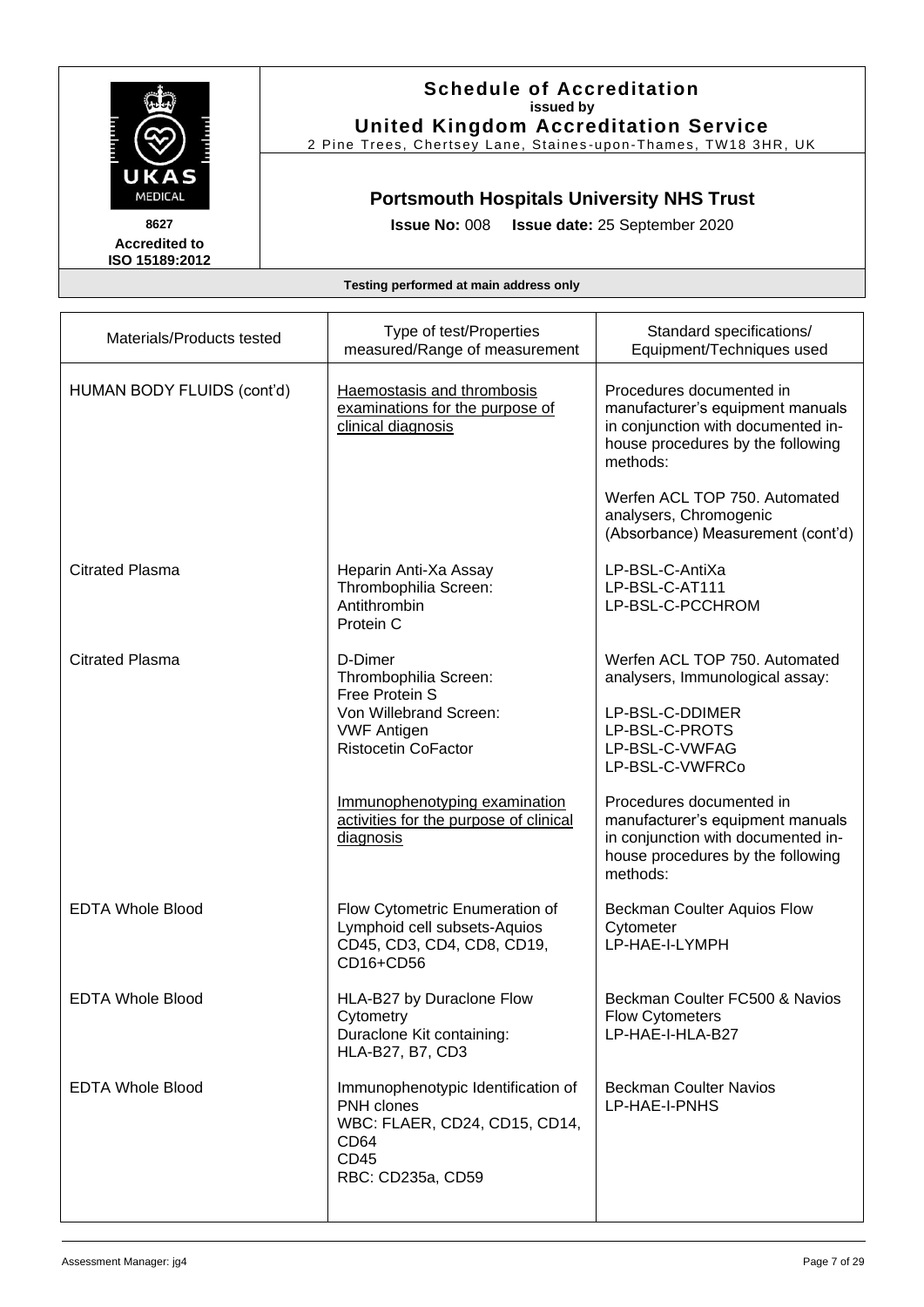

**Schedule of Accreditation issued by United Kingdom Accreditation Service**

2 Pine Trees, Chertsey Lane, Staines -upon -Thames, TW18 3HR, UK

## **Portsmouth Hospitals University NHS Trust**

**Issue No:** 008 **Issue date:** 25 September 2020

| Materials/Products tested  | Type of test/Properties<br>measured/Range of measurement                                                                           | Standard specifications/<br>Equipment/Techniques used                                                                                               |
|----------------------------|------------------------------------------------------------------------------------------------------------------------------------|-----------------------------------------------------------------------------------------------------------------------------------------------------|
| HUMAN BODY FLUIDS (cont'd) | Haemostasis and thrombosis<br>examinations for the purpose of<br>clinical diagnosis                                                | Procedures documented in<br>manufacturer's equipment manuals<br>in conjunction with documented in-<br>house procedures by the following<br>methods: |
|                            |                                                                                                                                    | Werfen ACL TOP 750. Automated<br>analysers, Chromogenic<br>(Absorbance) Measurement (cont'd)                                                        |
| <b>Citrated Plasma</b>     | Heparin Anti-Xa Assay<br>Thrombophilia Screen:<br>Antithrombin<br>Protein C                                                        | LP-BSL-C-AntiXa<br>LP-BSL-C-AT111<br>LP-BSL-C-PCCHROM                                                                                               |
| <b>Citrated Plasma</b>     | D-Dimer<br>Thrombophilia Screen:<br>Free Protein S                                                                                 | Werfen ACL TOP 750. Automated<br>analysers, Immunological assay:                                                                                    |
|                            | Von Willebrand Screen:<br><b>VWF Antigen</b><br><b>Ristocetin CoFactor</b>                                                         | LP-BSL-C-DDIMER<br>LP-BSL-C-PROTS<br>LP-BSL-C-VWFAG<br>LP-BSL-C-VWFRCo                                                                              |
|                            | Immunophenotyping examination<br>activities for the purpose of clinical<br>diagnosis                                               | Procedures documented in<br>manufacturer's equipment manuals<br>in conjunction with documented in-<br>house procedures by the following<br>methods: |
| <b>EDTA Whole Blood</b>    | Flow Cytometric Enumeration of<br>Lymphoid cell subsets-Aquios<br>CD45, CD3, CD4, CD8, CD19,<br>CD16+CD56                          | <b>Beckman Coulter Aquios Flow</b><br>Cytometer<br>LP-HAE-I-LYMPH                                                                                   |
| <b>EDTA Whole Blood</b>    | HLA-B27 by Duraclone Flow<br>Cytometry<br>Duraclone Kit containing:<br>HLA-B27, B7, CD3                                            | Beckman Coulter FC500 & Navios<br><b>Flow Cytometers</b><br>LP-HAE-I-HLA-B27                                                                        |
| <b>EDTA Whole Blood</b>    | Immunophenotypic Identification of<br>PNH clones<br>WBC: FLAER, CD24, CD15, CD14,<br>CD <sub>64</sub><br>CD45<br>RBC: CD235a, CD59 | <b>Beckman Coulter Navios</b><br>LP-HAE-I-PNHS                                                                                                      |
|                            |                                                                                                                                    |                                                                                                                                                     |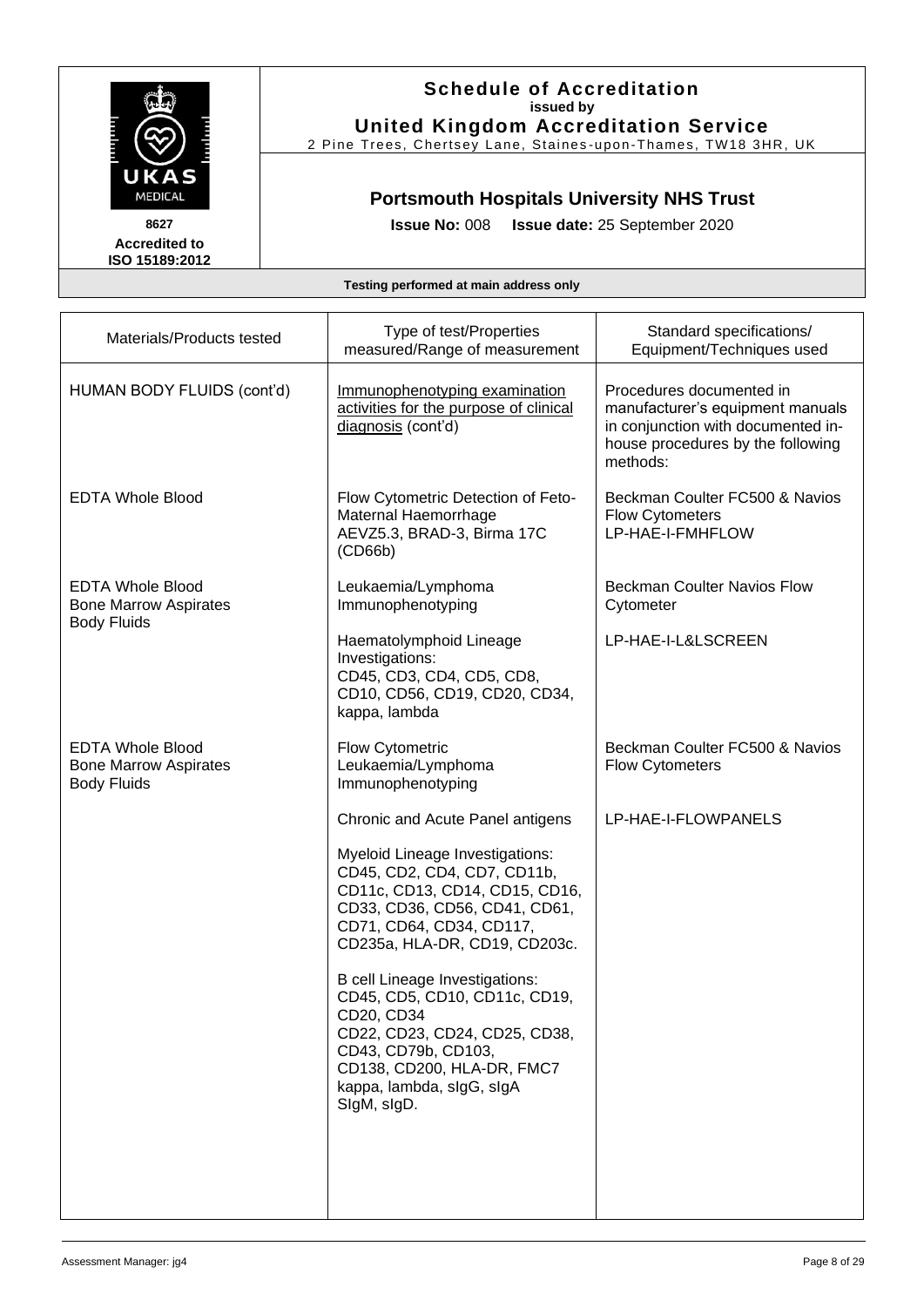

**Schedule of Accreditation issued by United Kingdom Accreditation Service**

2 Pine Trees, Chertsey Lane, Staines -upon -Thames, TW18 3HR, UK

## **Portsmouth Hospitals University NHS Trust**

**Issue No:** 008 **Issue date:** 25 September 2020

| Materials/Products tested                                                     | Type of test/Properties<br>measured/Range of measurement                                                                                                                                                        | Standard specifications/<br>Equipment/Techniques used                                                                                               |
|-------------------------------------------------------------------------------|-----------------------------------------------------------------------------------------------------------------------------------------------------------------------------------------------------------------|-----------------------------------------------------------------------------------------------------------------------------------------------------|
| HUMAN BODY FLUIDS (cont'd)                                                    | Immunophenotyping examination<br>activities for the purpose of clinical<br>diagnosis (cont'd)                                                                                                                   | Procedures documented in<br>manufacturer's equipment manuals<br>in conjunction with documented in-<br>house procedures by the following<br>methods: |
| <b>EDTA Whole Blood</b>                                                       | Flow Cytometric Detection of Feto-<br>Maternal Haemorrhage<br>AEVZ5.3, BRAD-3, Birma 17C<br>(CD66b)                                                                                                             | Beckman Coulter FC500 & Navios<br><b>Flow Cytometers</b><br>LP-HAE-I-FMHFLOW                                                                        |
| <b>EDTA Whole Blood</b><br><b>Bone Marrow Aspirates</b>                       | Leukaemia/Lymphoma<br>Immunophenotyping                                                                                                                                                                         | <b>Beckman Coulter Navios Flow</b><br>Cytometer                                                                                                     |
| <b>Body Fluids</b>                                                            | Haematolymphoid Lineage<br>Investigations:<br>CD45, CD3, CD4, CD5, CD8,<br>CD10, CD56, CD19, CD20, CD34,<br>kappa, lambda                                                                                       | LP-HAE-I-L&LSCREEN                                                                                                                                  |
| <b>EDTA Whole Blood</b><br><b>Bone Marrow Aspirates</b><br><b>Body Fluids</b> | Flow Cytometric<br>Leukaemia/Lymphoma<br>Immunophenotyping                                                                                                                                                      | Beckman Coulter FC500 & Navios<br><b>Flow Cytometers</b>                                                                                            |
|                                                                               | Chronic and Acute Panel antigens                                                                                                                                                                                | LP-HAE-I-FLOWPANELS                                                                                                                                 |
|                                                                               | Myeloid Lineage Investigations:<br>CD45, CD2, CD4, CD7, CD11b,<br>CD11c, CD13, CD14, CD15, CD16,<br>CD33, CD36, CD56, CD41, CD61,<br>CD71, CD64, CD34, CD117,<br>CD235a, HLA-DR, CD19, CD203c.                  |                                                                                                                                                     |
|                                                                               | B cell Lineage Investigations:<br>CD45, CD5, CD10, CD11c, CD19,<br>CD20, CD34<br>CD22, CD23, CD24, CD25, CD38,<br>CD43, CD79b, CD103,<br>CD138, CD200, HLA-DR, FMC7<br>kappa, lambda, sIgG, sIgA<br>SigM, sigD. |                                                                                                                                                     |
|                                                                               |                                                                                                                                                                                                                 |                                                                                                                                                     |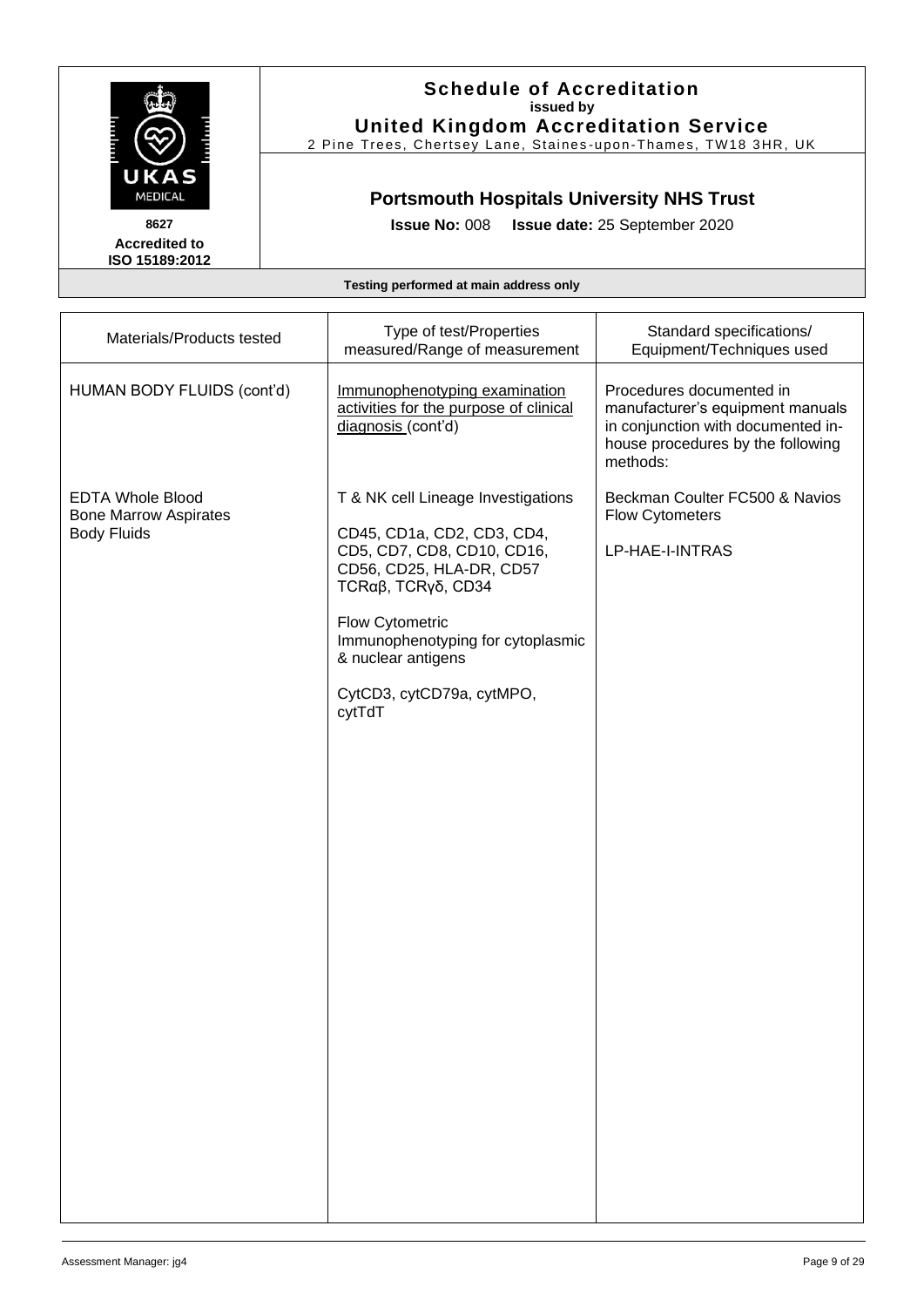

### **Schedule of Accreditation issued by United Kingdom Accreditation Service**

2 Pine Trees, Chertsey Lane, Staines -upon -Thames, TW18 3HR, UK

## **Portsmouth Hospitals University NHS Trust**

**Issue No:** 008 **Issue date:** 25 September 2020

| Materials/Products tested                                                     | Type of test/Properties<br>measured/Range of measurement                                                                                                                                                                                                                  | Standard specifications/<br>Equipment/Techniques used                                                                                               |
|-------------------------------------------------------------------------------|---------------------------------------------------------------------------------------------------------------------------------------------------------------------------------------------------------------------------------------------------------------------------|-----------------------------------------------------------------------------------------------------------------------------------------------------|
| HUMAN BODY FLUIDS (cont'd)                                                    | Immunophenotyping examination<br>activities for the purpose of clinical<br>diagnosis (cont'd)                                                                                                                                                                             | Procedures documented in<br>manufacturer's equipment manuals<br>in conjunction with documented in-<br>house procedures by the following<br>methods: |
| <b>EDTA Whole Blood</b><br><b>Bone Marrow Aspirates</b><br><b>Body Fluids</b> | T & NK cell Lineage Investigations<br>CD45, CD1a, CD2, CD3, CD4,<br>CD5, CD7, CD8, CD10, CD16,<br>CD56, CD25, HLA-DR, CD57<br>TCRα $β$ , TCRγδ, CD34<br>Flow Cytometric<br>Immunophenotyping for cytoplasmic<br>& nuclear antigens<br>CytCD3, cytCD79a, cytMPO,<br>cytTdT | Beckman Coulter FC500 & Navios<br><b>Flow Cytometers</b><br>LP-HAE-I-INTRAS                                                                         |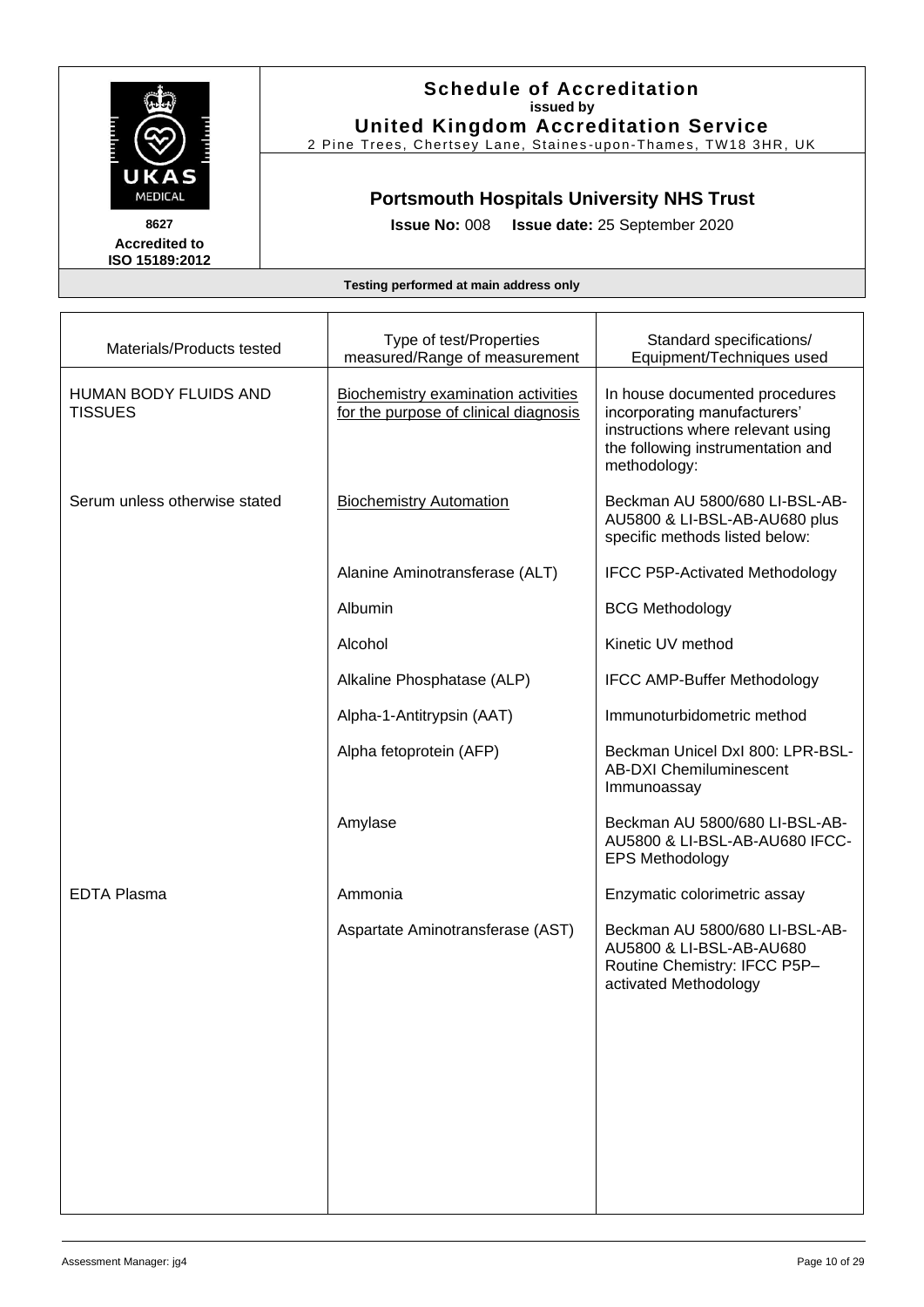

**Schedule of Accreditation issued by United Kingdom Accreditation Service**

2 Pine Trees, Chertsey Lane, Staines -upon -Thames, TW18 3HR, UK

## **Portsmouth Hospitals University NHS Trust**

**Issue No:** 008 **Issue date:** 25 September 2020

| Materials/Products tested               | Type of test/Properties<br>measured/Range of measurement                     | Standard specifications/<br>Equipment/Techniques used                                                                                                    |
|-----------------------------------------|------------------------------------------------------------------------------|----------------------------------------------------------------------------------------------------------------------------------------------------------|
| HUMAN BODY FLUIDS AND<br><b>TISSUES</b> | Biochemistry examination activities<br>for the purpose of clinical diagnosis | In house documented procedures<br>incorporating manufacturers'<br>instructions where relevant using<br>the following instrumentation and<br>methodology: |
| Serum unless otherwise stated           | <b>Biochemistry Automation</b>                                               | Beckman AU 5800/680 LI-BSL-AB-<br>AU5800 & LI-BSL-AB-AU680 plus<br>specific methods listed below:                                                        |
|                                         | Alanine Aminotransferase (ALT)                                               | <b>IFCC P5P-Activated Methodology</b>                                                                                                                    |
|                                         | Albumin                                                                      | <b>BCG Methodology</b>                                                                                                                                   |
|                                         | Alcohol                                                                      | Kinetic UV method                                                                                                                                        |
|                                         | Alkaline Phosphatase (ALP)                                                   | <b>IFCC AMP-Buffer Methodology</b>                                                                                                                       |
|                                         | Alpha-1-Antitrypsin (AAT)                                                    | Immunoturbidometric method                                                                                                                               |
|                                         | Alpha fetoprotein (AFP)                                                      | Beckman Unicel DxI 800: LPR-BSL-<br><b>AB-DXI Chemiluminescent</b><br>Immunoassay                                                                        |
|                                         | Amylase                                                                      | Beckman AU 5800/680 LI-BSL-AB-<br>AU5800 & LI-BSL-AB-AU680 IFCC-<br><b>EPS Methodology</b>                                                               |
| <b>EDTA Plasma</b>                      | Ammonia                                                                      | Enzymatic colorimetric assay                                                                                                                             |
|                                         | Aspartate Aminotransferase (AST)                                             | Beckman AU 5800/680 LI-BSL-AB-<br>AU5800 & LI-BSL-AB-AU680<br>Routine Chemistry: IFCC P5P-<br>activated Methodology                                      |
|                                         |                                                                              |                                                                                                                                                          |
|                                         |                                                                              |                                                                                                                                                          |
|                                         |                                                                              |                                                                                                                                                          |
|                                         |                                                                              |                                                                                                                                                          |
|                                         |                                                                              |                                                                                                                                                          |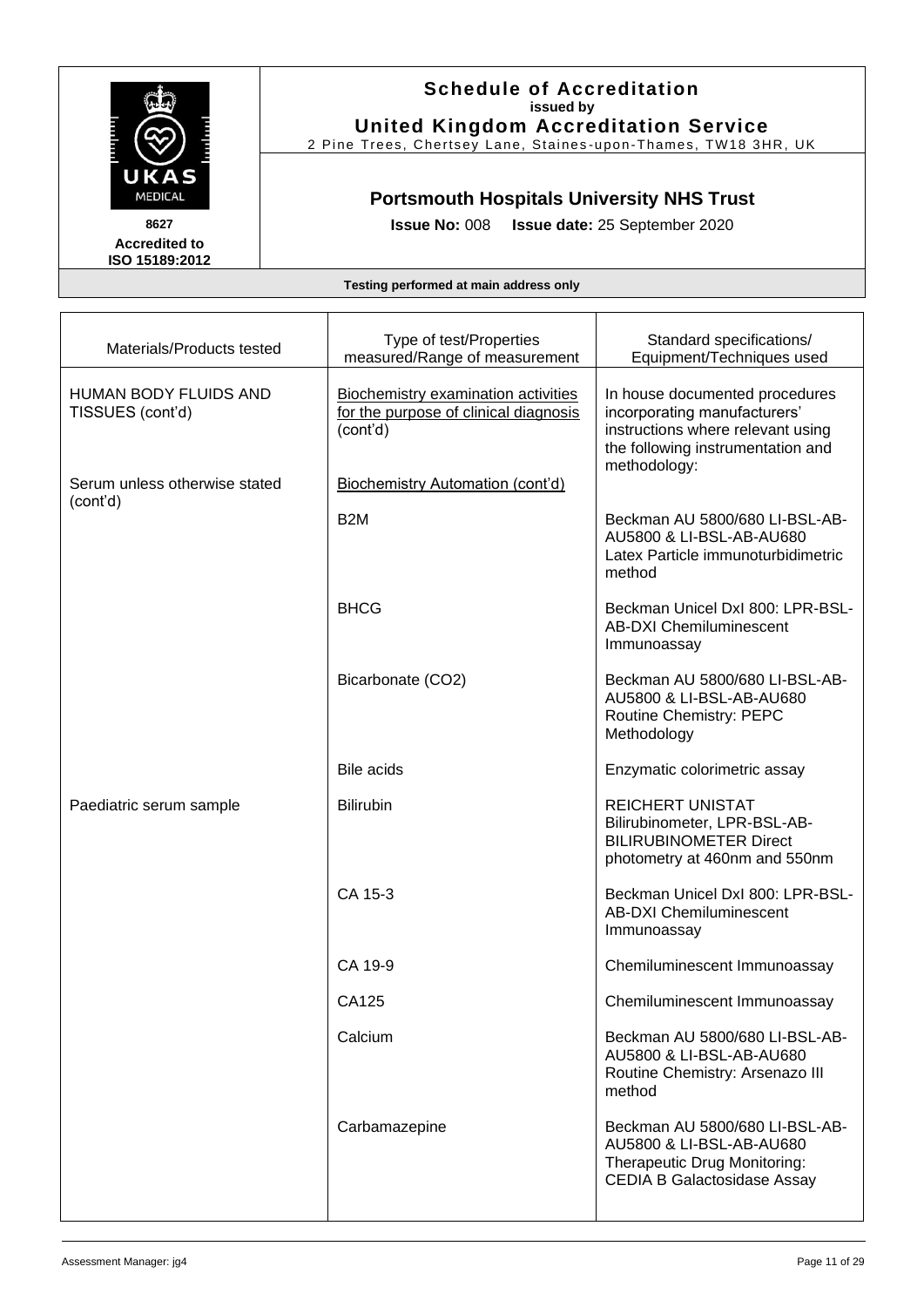

#### **Schedule of Accreditation issued by United Kingdom Accreditation Service**

2 Pine Trees, Chertsey Lane, Staines -upon -Thames, TW18 3HR, UK

## **Portsmouth Hospitals University NHS Trust**

**Issue No:** 008 **Issue date:** 25 September 2020

| Materials/Products tested                 | Type of test/Properties<br>measured/Range of measurement                                 | Standard specifications/<br>Equipment/Techniques used                                                                                                    |
|-------------------------------------------|------------------------------------------------------------------------------------------|----------------------------------------------------------------------------------------------------------------------------------------------------------|
| HUMAN BODY FLUIDS AND<br>TISSUES (cont'd) | Biochemistry examination activities<br>for the purpose of clinical diagnosis<br>(cont'd) | In house documented procedures<br>incorporating manufacturers'<br>instructions where relevant using<br>the following instrumentation and<br>methodology: |
| Serum unless otherwise stated             | <b>Biochemistry Automation (cont'd)</b>                                                  |                                                                                                                                                          |
| (cont'd)                                  | B <sub>2</sub> M                                                                         | Beckman AU 5800/680 LI-BSL-AB-<br>AU5800 & LI-BSL-AB-AU680<br>Latex Particle immunoturbidimetric<br>method                                               |
|                                           | <b>BHCG</b>                                                                              | Beckman Unicel DxI 800: LPR-BSL-<br><b>AB-DXI Chemiluminescent</b><br>Immunoassay                                                                        |
|                                           | Bicarbonate (CO2)                                                                        | Beckman AU 5800/680 LI-BSL-AB-<br>AU5800 & LI-BSL-AB-AU680<br>Routine Chemistry: PEPC<br>Methodology                                                     |
|                                           | <b>Bile acids</b>                                                                        | Enzymatic colorimetric assay                                                                                                                             |
| Paediatric serum sample                   | <b>Bilirubin</b>                                                                         | <b>REICHERT UNISTAT</b><br>Bilirubinometer, LPR-BSL-AB-<br><b>BILIRUBINOMETER Direct</b><br>photometry at 460nm and 550nm                                |
|                                           | CA 15-3                                                                                  | Beckman Unicel DxI 800: LPR-BSL-<br><b>AB-DXI Chemiluminescent</b><br>Immunoassay                                                                        |
|                                           | CA 19-9                                                                                  | Chemiluminescent Immunoassay                                                                                                                             |
|                                           | CA125                                                                                    | Chemiluminescent Immunoassay                                                                                                                             |
|                                           | Calcium                                                                                  | Beckman AU 5800/680 LI-BSL-AB-<br>AU5800 & LI-BSL-AB-AU680<br>Routine Chemistry: Arsenazo III<br>method                                                  |
|                                           | Carbamazepine                                                                            | Beckman AU 5800/680 LI-BSL-AB-<br>AU5800 & LI-BSL-AB-AU680<br>Therapeutic Drug Monitoring:<br><b>CEDIA B Galactosidase Assay</b>                         |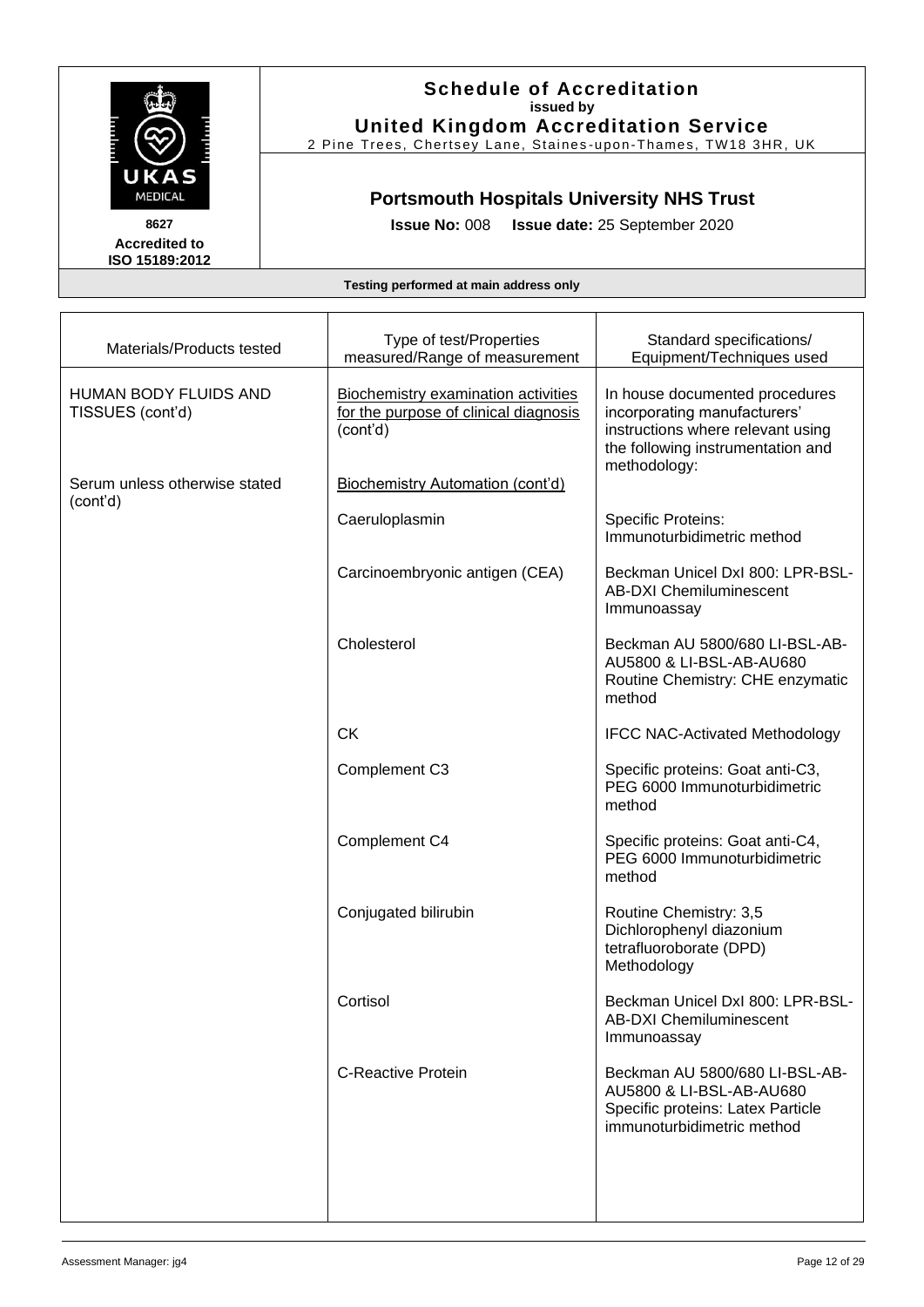

### **Schedule of Accreditation issued by United Kingdom Accreditation Service**

2 Pine Trees, Chertsey Lane, Staines -upon -Thames, TW18 3HR, UK

## **Portsmouth Hospitals University NHS Trust**

**Issue No:** 008 **Issue date:** 25 September 2020

| Materials/Products tested                        | Type of test/Properties<br>measured/Range of measurement                                 | Standard specifications/<br>Equipment/Techniques used                                                                                                    |
|--------------------------------------------------|------------------------------------------------------------------------------------------|----------------------------------------------------------------------------------------------------------------------------------------------------------|
| <b>HUMAN BODY FLUIDS AND</b><br>TISSUES (cont'd) | Biochemistry examination activities<br>for the purpose of clinical diagnosis<br>(cont'd) | In house documented procedures<br>incorporating manufacturers'<br>instructions where relevant using<br>the following instrumentation and<br>methodology: |
| Serum unless otherwise stated<br>(cont'd)        | <b>Biochemistry Automation (cont'd)</b>                                                  |                                                                                                                                                          |
|                                                  | Caeruloplasmin                                                                           | <b>Specific Proteins:</b><br>Immunoturbidimetric method                                                                                                  |
|                                                  | Carcinoembryonic antigen (CEA)                                                           | Beckman Unicel DxI 800: LPR-BSL-<br><b>AB-DXI Chemiluminescent</b><br>Immunoassay                                                                        |
|                                                  | Cholesterol                                                                              | Beckman AU 5800/680 LI-BSL-AB-<br>AU5800 & LI-BSL-AB-AU680<br>Routine Chemistry: CHE enzymatic<br>method                                                 |
|                                                  | <b>CK</b>                                                                                | <b>IFCC NAC-Activated Methodology</b>                                                                                                                    |
|                                                  | Complement C3                                                                            | Specific proteins: Goat anti-C3,<br>PEG 6000 Immunoturbidimetric<br>method                                                                               |
|                                                  | Complement C4                                                                            | Specific proteins: Goat anti-C4,<br>PEG 6000 Immunoturbidimetric<br>method                                                                               |
|                                                  | Conjugated bilirubin                                                                     | Routine Chemistry: 3,5<br>Dichlorophenyl diazonium<br>tetrafluoroborate (DPD)<br>Methodology                                                             |
|                                                  | Cortisol                                                                                 | Beckman Unicel DxI 800: LPR-BSL-<br><b>AB-DXI Chemiluminescent</b><br>Immunoassay                                                                        |
|                                                  | <b>C-Reactive Protein</b>                                                                | Beckman AU 5800/680 LI-BSL-AB-<br>AU5800 & LI-BSL-AB-AU680<br>Specific proteins: Latex Particle<br>immunoturbidimetric method                            |
|                                                  |                                                                                          |                                                                                                                                                          |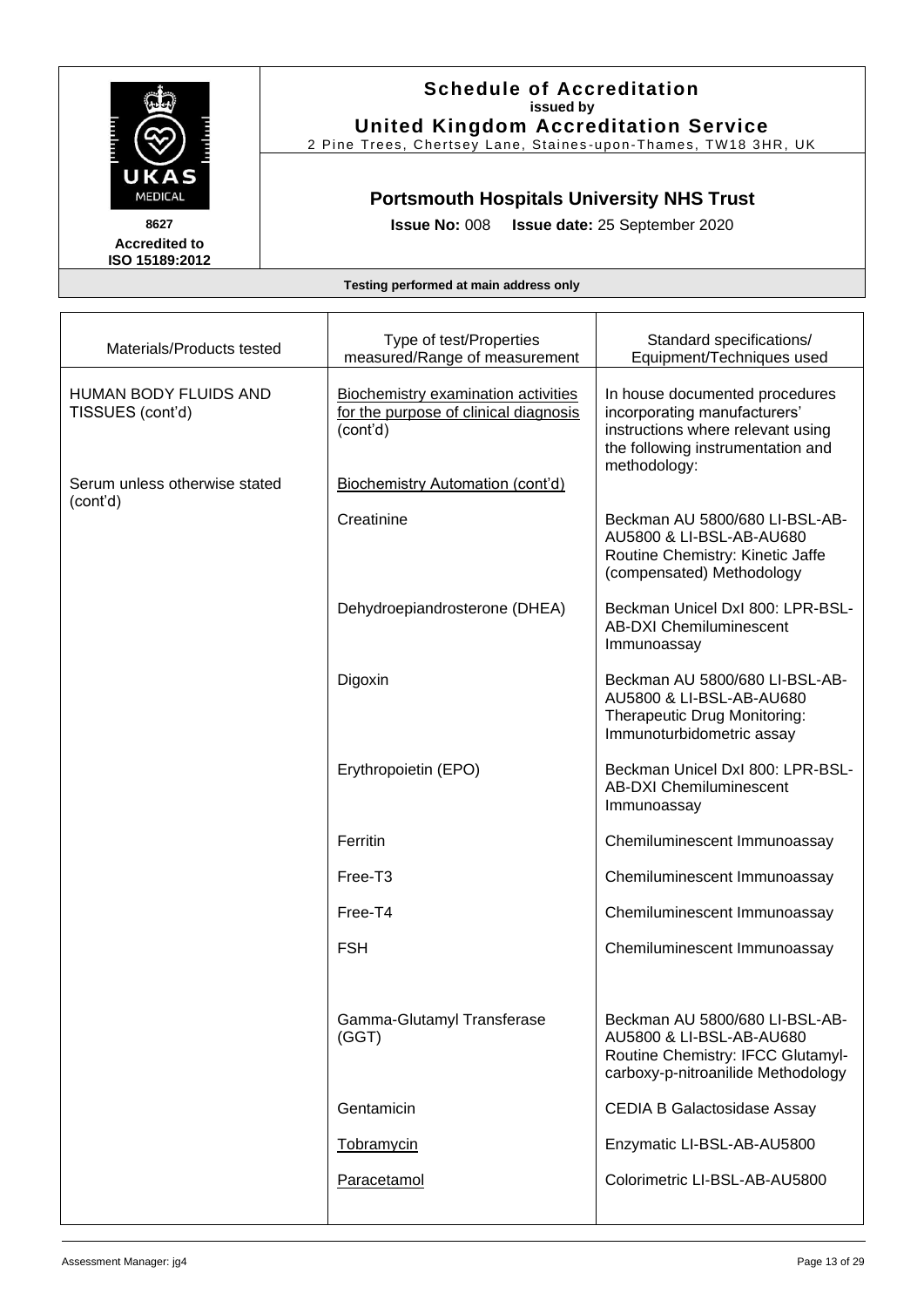

### **Schedule of Accreditation issued by United Kingdom Accreditation Service**

2 Pine Trees, Chertsey Lane, Staines -upon -Thames, TW18 3HR, UK

## **Portsmouth Hospitals University NHS Trust**

**Issue No:** 008 **Issue date:** 25 September 2020

| Materials/Products tested                        | Type of test/Properties<br>measured/Range of measurement                                 | Standard specifications/<br>Equipment/Techniques used                                                                                                    |
|--------------------------------------------------|------------------------------------------------------------------------------------------|----------------------------------------------------------------------------------------------------------------------------------------------------------|
| <b>HUMAN BODY FLUIDS AND</b><br>TISSUES (cont'd) | Biochemistry examination activities<br>for the purpose of clinical diagnosis<br>(cont'd) | In house documented procedures<br>incorporating manufacturers'<br>instructions where relevant using<br>the following instrumentation and<br>methodology: |
| Serum unless otherwise stated                    | <b>Biochemistry Automation (cont'd)</b>                                                  |                                                                                                                                                          |
| (cont'd)                                         | Creatinine                                                                               | Beckman AU 5800/680 LI-BSL-AB-<br>AU5800 & LI-BSL-AB-AU680<br>Routine Chemistry: Kinetic Jaffe<br>(compensated) Methodology                              |
|                                                  | Dehydroepiandrosterone (DHEA)                                                            | Beckman Unicel DxI 800: LPR-BSL-<br><b>AB-DXI Chemiluminescent</b><br>Immunoassay                                                                        |
|                                                  | Digoxin                                                                                  | Beckman AU 5800/680 LI-BSL-AB-<br>AU5800 & LI-BSL-AB-AU680<br>Therapeutic Drug Monitoring:<br>Immunoturbidometric assay                                  |
|                                                  | Erythropoietin (EPO)                                                                     | Beckman Unicel DxI 800: LPR-BSL-<br><b>AB-DXI Chemiluminescent</b><br>Immunoassay                                                                        |
|                                                  | Ferritin                                                                                 | Chemiluminescent Immunoassay                                                                                                                             |
|                                                  | Free-T <sub>3</sub>                                                                      | Chemiluminescent Immunoassay                                                                                                                             |
|                                                  | Free-T4                                                                                  | Chemiluminescent Immunoassay                                                                                                                             |
|                                                  | <b>FSH</b>                                                                               | Chemiluminescent Immunoassay                                                                                                                             |
|                                                  |                                                                                          |                                                                                                                                                          |
|                                                  | Gamma-Glutamyl Transferase<br>(GGT)                                                      | Beckman AU 5800/680 LI-BSL-AB-<br>AU5800 & LI-BSL-AB-AU680<br>Routine Chemistry: IFCC Glutamyl-<br>carboxy-p-nitroanilide Methodology                    |
|                                                  | Gentamicin                                                                               | <b>CEDIA B Galactosidase Assay</b>                                                                                                                       |
|                                                  | Tobramycin                                                                               | Enzymatic LI-BSL-AB-AU5800                                                                                                                               |
|                                                  | Paracetamol                                                                              | Colorimetric LI-BSL-AB-AU5800                                                                                                                            |
|                                                  |                                                                                          |                                                                                                                                                          |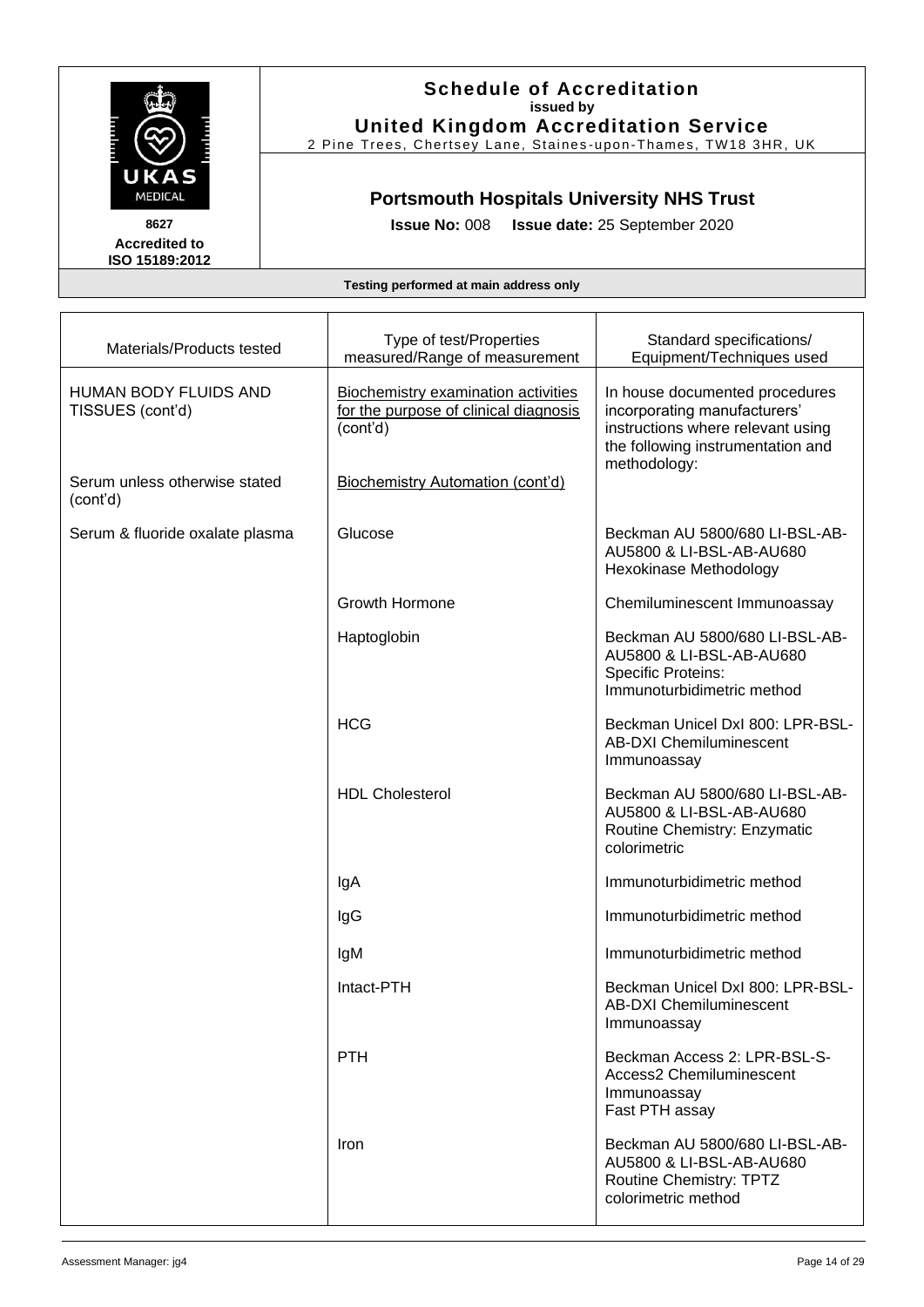

### **Schedule of Accreditation issued by United Kingdom Accreditation Service**

2 Pine Trees, Chertsey Lane, Staines-upon-Thames, TW18 3HR, UK

## **Portsmouth Hospitals University NHS Trust**

**Issue No:** 008 **Issue date:** 25 September 2020

| Materials/Products tested                        | Type of test/Properties<br>measured/Range of measurement                                        | Standard specifications/<br>Equipment/Techniques used                                                                                                    |
|--------------------------------------------------|-------------------------------------------------------------------------------------------------|----------------------------------------------------------------------------------------------------------------------------------------------------------|
| <b>HUMAN BODY FLUIDS AND</b><br>TISSUES (cont'd) | <b>Biochemistry examination activities</b><br>for the purpose of clinical diagnosis<br>(cont'd) | In house documented procedures<br>incorporating manufacturers'<br>instructions where relevant using<br>the following instrumentation and<br>methodology: |
| Serum unless otherwise stated<br>(cont'd)        | Biochemistry Automation (cont'd)                                                                |                                                                                                                                                          |
| Serum & fluoride oxalate plasma                  | Glucose                                                                                         | Beckman AU 5800/680 LI-BSL-AB-<br>AU5800 & LI-BSL-AB-AU680<br>Hexokinase Methodology                                                                     |
|                                                  | Growth Hormone                                                                                  | Chemiluminescent Immunoassay                                                                                                                             |
|                                                  | Haptoglobin                                                                                     | Beckman AU 5800/680 LI-BSL-AB-<br>AU5800 & LI-BSL-AB-AU680<br><b>Specific Proteins:</b><br>Immunoturbidimetric method                                    |
|                                                  | <b>HCG</b>                                                                                      | Beckman Unicel DxI 800: LPR-BSL-<br><b>AB-DXI Chemiluminescent</b><br>Immunoassay                                                                        |
|                                                  | <b>HDL Cholesterol</b>                                                                          | Beckman AU 5800/680 LI-BSL-AB-<br>AU5800 & LI-BSL-AB-AU680<br>Routine Chemistry: Enzymatic<br>colorimetric                                               |
|                                                  | lgA                                                                                             | Immunoturbidimetric method                                                                                                                               |
|                                                  | lgG                                                                                             | Immunoturbidimetric method                                                                                                                               |
|                                                  | lgM                                                                                             | Immunoturbidimetric method                                                                                                                               |
|                                                  | Intact-PTH                                                                                      | Beckman Unicel DxI 800: LPR-BSL-<br><b>AB-DXI Chemiluminescent</b><br>Immunoassay                                                                        |
|                                                  | <b>PTH</b>                                                                                      | Beckman Access 2: LPR-BSL-S-<br>Access2 Chemiluminescent<br>Immunoassay<br>Fast PTH assay                                                                |
|                                                  | Iron                                                                                            | Beckman AU 5800/680 LI-BSL-AB-<br>AU5800 & LI-BSL-AB-AU680<br>Routine Chemistry: TPTZ<br>colorimetric method                                             |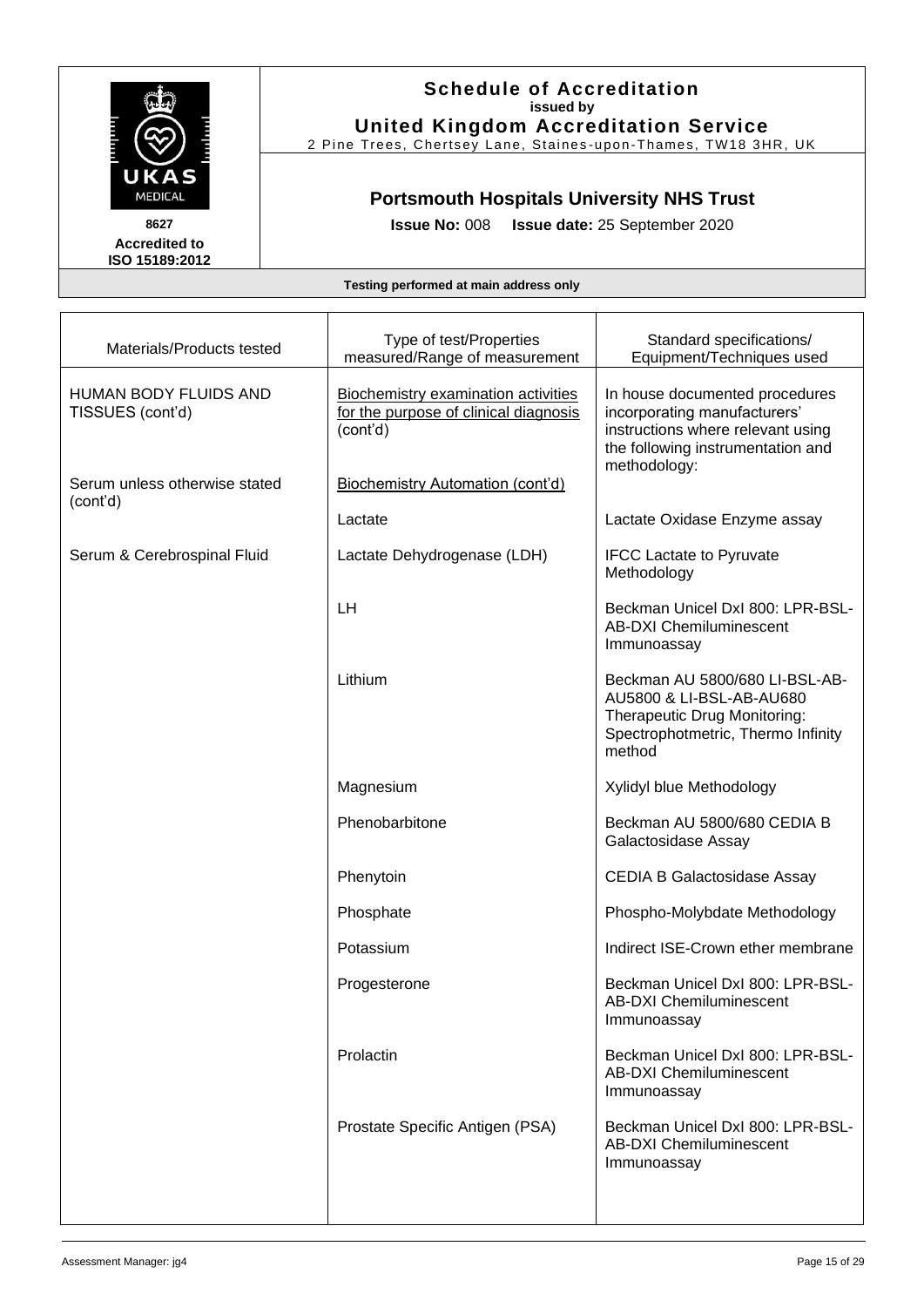

### **Schedule of Accreditation issued by United Kingdom Accreditation Service**

2 Pine Trees, Chertsey Lane, Staines -upon -Thames, TW18 3HR, UK

## **Portsmouth Hospitals University NHS Trust**

**Issue No:** 008 **Issue date:** 25 September 2020

| Materials/Products tested                 | Type of test/Properties<br>measured/Range of measurement                                        | Standard specifications/<br>Equipment/Techniques used                                                                                      |
|-------------------------------------------|-------------------------------------------------------------------------------------------------|--------------------------------------------------------------------------------------------------------------------------------------------|
| HUMAN BODY FLUIDS AND<br>TISSUES (cont'd) | <b>Biochemistry examination activities</b><br>for the purpose of clinical diagnosis<br>(cont'd) | In house documented procedures<br>incorporating manufacturers'<br>instructions where relevant using<br>the following instrumentation and   |
| Serum unless otherwise stated<br>(cont'd) | <b>Biochemistry Automation (cont'd)</b>                                                         | methodology:                                                                                                                               |
|                                           | Lactate                                                                                         | Lactate Oxidase Enzyme assay                                                                                                               |
| Serum & Cerebrospinal Fluid               | Lactate Dehydrogenase (LDH)                                                                     | <b>IFCC Lactate to Pyruvate</b><br>Methodology                                                                                             |
|                                           | <b>LH</b>                                                                                       | Beckman Unicel DxI 800: LPR-BSL-<br><b>AB-DXI Chemiluminescent</b><br>Immunoassay                                                          |
|                                           | Lithium                                                                                         | Beckman AU 5800/680 LI-BSL-AB-<br>AU5800 & LI-BSL-AB-AU680<br>Therapeutic Drug Monitoring:<br>Spectrophotmetric, Thermo Infinity<br>method |
|                                           | Magnesium                                                                                       | Xylidyl blue Methodology                                                                                                                   |
|                                           | Phenobarbitone                                                                                  | Beckman AU 5800/680 CEDIA B<br>Galactosidase Assay                                                                                         |
|                                           | Phenytoin                                                                                       | <b>CEDIA B Galactosidase Assay</b>                                                                                                         |
|                                           | Phosphate                                                                                       | Phospho-Molybdate Methodology                                                                                                              |
|                                           | Potassium                                                                                       | Indirect ISE-Crown ether membrane                                                                                                          |
|                                           | Progesterone                                                                                    | Beckman Unicel DxI 800: LPR-BSL-<br><b>AB-DXI Chemiluminescent</b><br>Immunoassay                                                          |
|                                           | Prolactin                                                                                       | Beckman Unicel DxI 800: LPR-BSL-<br><b>AB-DXI Chemiluminescent</b><br>Immunoassay                                                          |
|                                           | Prostate Specific Antigen (PSA)                                                                 | Beckman Unicel DxI 800: LPR-BSL-<br><b>AB-DXI Chemiluminescent</b><br>Immunoassay                                                          |
|                                           |                                                                                                 |                                                                                                                                            |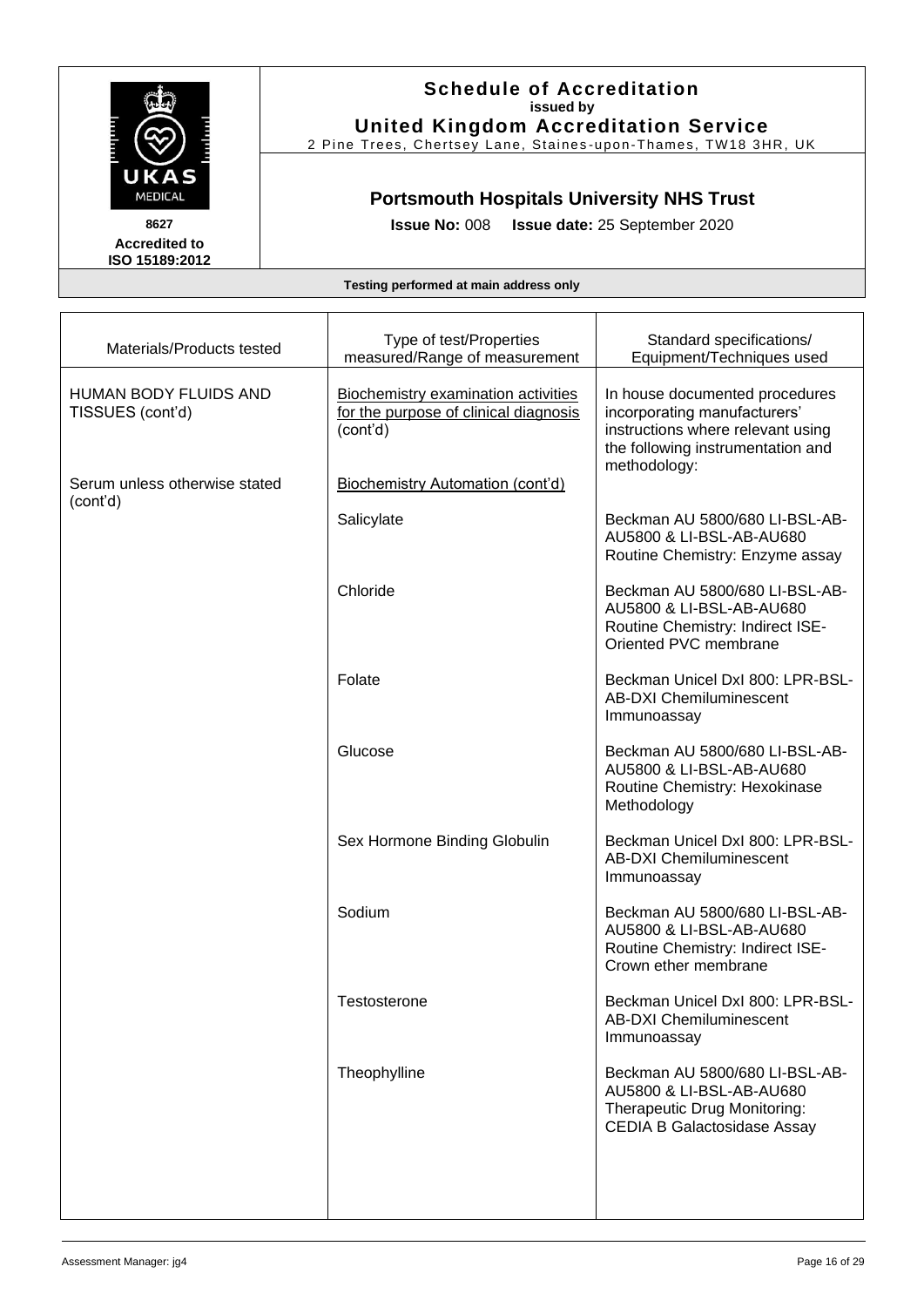

### **Schedule of Accreditation issued by United Kingdom Accreditation Service**

2 Pine Trees, Chertsey Lane, Staines -upon -Thames, TW18 3HR, UK

## **Portsmouth Hospitals University NHS Trust**

**Issue No:** 008 **Issue date:** 25 September 2020

| Materials/Products tested                 | Type of test/Properties<br>measured/Range of measurement                                 | Standard specifications/<br>Equipment/Techniques used                                                                                                    |
|-------------------------------------------|------------------------------------------------------------------------------------------|----------------------------------------------------------------------------------------------------------------------------------------------------------|
| HUMAN BODY FLUIDS AND<br>TISSUES (cont'd) | Biochemistry examination activities<br>for the purpose of clinical diagnosis<br>(cont'd) | In house documented procedures<br>incorporating manufacturers'<br>instructions where relevant using<br>the following instrumentation and<br>methodology: |
| Serum unless otherwise stated             | Biochemistry Automation (cont'd)                                                         |                                                                                                                                                          |
| (cont'd)                                  | Salicylate                                                                               | Beckman AU 5800/680 LI-BSL-AB-<br>AU5800 & LI-BSL-AB-AU680<br>Routine Chemistry: Enzyme assay                                                            |
|                                           | Chloride                                                                                 | Beckman AU 5800/680 LI-BSL-AB-<br>AU5800 & LI-BSL-AB-AU680<br>Routine Chemistry: Indirect ISE-<br>Oriented PVC membrane                                  |
|                                           | Folate                                                                                   | Beckman Unicel DxI 800: LPR-BSL-<br><b>AB-DXI Chemiluminescent</b><br>Immunoassay                                                                        |
|                                           | Glucose                                                                                  | Beckman AU 5800/680 LI-BSL-AB-<br>AU5800 & LI-BSL-AB-AU680<br>Routine Chemistry: Hexokinase<br>Methodology                                               |
|                                           | Sex Hormone Binding Globulin                                                             | Beckman Unicel DxI 800: LPR-BSL-<br><b>AB-DXI Chemiluminescent</b><br>Immunoassay                                                                        |
|                                           | Sodium                                                                                   | Beckman AU 5800/680 LI-BSL-AB-<br>AU5800 & LI-BSL-AB-AU680<br>Routine Chemistry: Indirect ISE-<br>Crown ether membrane                                   |
|                                           | Testosterone                                                                             | Beckman Unicel DxI 800: LPR-BSL-<br><b>AB-DXI Chemiluminescent</b><br>Immunoassay                                                                        |
|                                           | Theophylline                                                                             | Beckman AU 5800/680 LI-BSL-AB-<br>AU5800 & LI-BSL-AB-AU680<br>Therapeutic Drug Monitoring:<br><b>CEDIA B Galactosidase Assay</b>                         |
|                                           |                                                                                          |                                                                                                                                                          |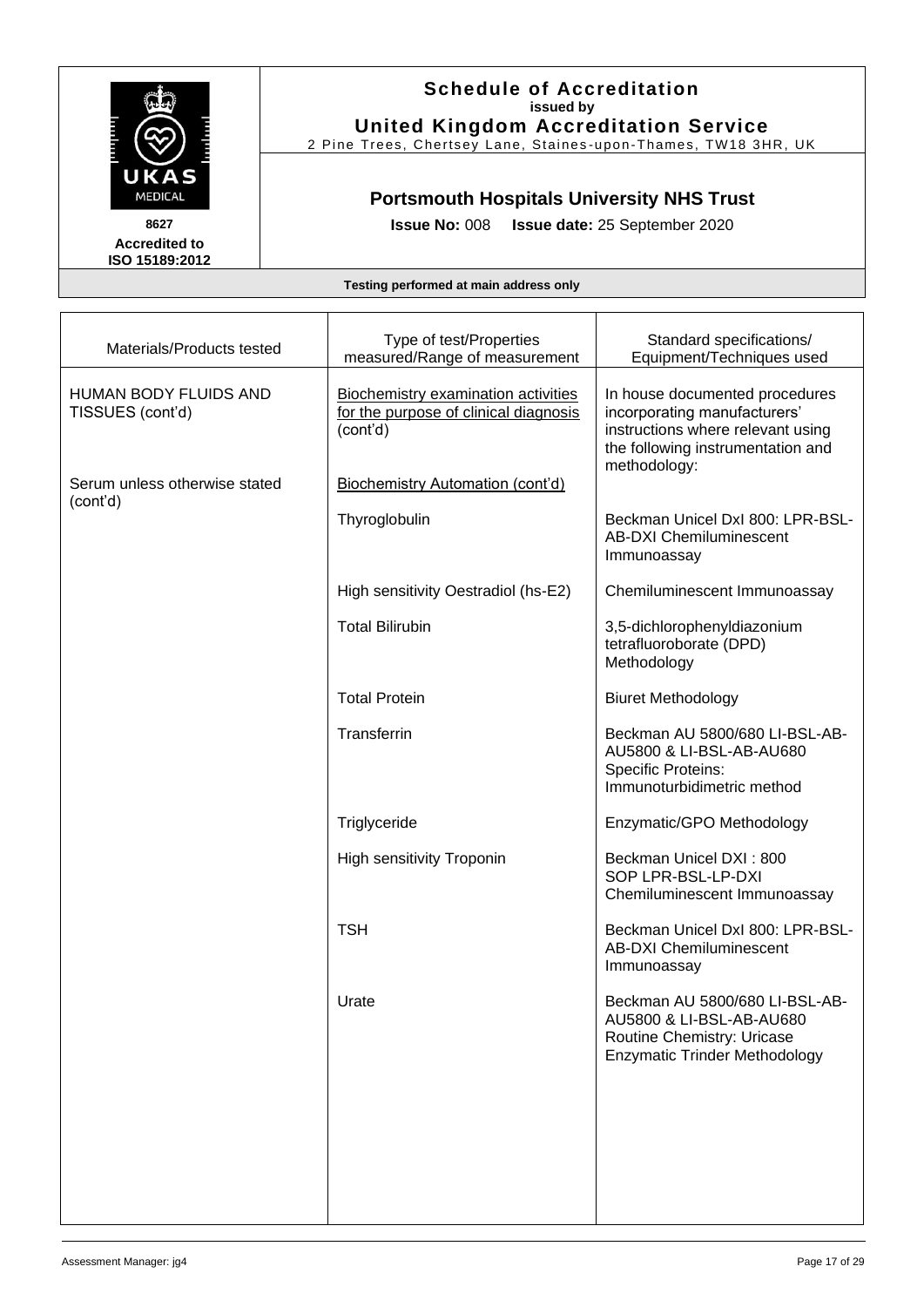

### **Schedule of Accreditation issued by United Kingdom Accreditation Service**

2 Pine Trees, Chertsey Lane, Staines -upon -Thames, TW18 3HR, UK

## **Portsmouth Hospitals University NHS Trust**

**Issue No:** 008 **Issue date:** 25 September 2020

| Materials/Products tested                        | Type of test/Properties<br>measured/Range of measurement                                        | Standard specifications/<br>Equipment/Techniques used                                                                                                    |
|--------------------------------------------------|-------------------------------------------------------------------------------------------------|----------------------------------------------------------------------------------------------------------------------------------------------------------|
| <b>HUMAN BODY FLUIDS AND</b><br>TISSUES (cont'd) | <b>Biochemistry examination activities</b><br>for the purpose of clinical diagnosis<br>(cont'd) | In house documented procedures<br>incorporating manufacturers'<br>instructions where relevant using<br>the following instrumentation and<br>methodology: |
| Serum unless otherwise stated<br>(cont'd)        | <b>Biochemistry Automation (cont'd)</b>                                                         |                                                                                                                                                          |
|                                                  | Thyroglobulin                                                                                   | Beckman Unicel DxI 800: LPR-BSL-<br><b>AB-DXI Chemiluminescent</b><br>Immunoassay                                                                        |
|                                                  | High sensitivity Oestradiol (hs-E2)                                                             | Chemiluminescent Immunoassay                                                                                                                             |
|                                                  | <b>Total Bilirubin</b>                                                                          | 3,5-dichlorophenyldiazonium<br>tetrafluoroborate (DPD)<br>Methodology                                                                                    |
|                                                  | <b>Total Protein</b>                                                                            | <b>Biuret Methodology</b>                                                                                                                                |
|                                                  | Transferrin                                                                                     | Beckman AU 5800/680 LI-BSL-AB-<br>AU5800 & LI-BSL-AB-AU680<br><b>Specific Proteins:</b><br>Immunoturbidimetric method                                    |
|                                                  | Triglyceride                                                                                    | Enzymatic/GPO Methodology                                                                                                                                |
|                                                  | <b>High sensitivity Troponin</b>                                                                | Beckman Unicel DXI: 800<br>SOP LPR-BSL-LP-DXI<br>Chemiluminescent Immunoassay                                                                            |
|                                                  | <b>TSH</b>                                                                                      | Beckman Unicel DxI 800: LPR-BSL-<br><b>AB-DXI Chemiluminescent</b><br>Immunoassay                                                                        |
|                                                  | Urate                                                                                           | Beckman AU 5800/680 LI-BSL-AB-<br>AU5800 & LI-BSL-AB-AU680<br>Routine Chemistry: Uricase<br><b>Enzymatic Trinder Methodology</b>                         |
|                                                  |                                                                                                 |                                                                                                                                                          |
|                                                  |                                                                                                 |                                                                                                                                                          |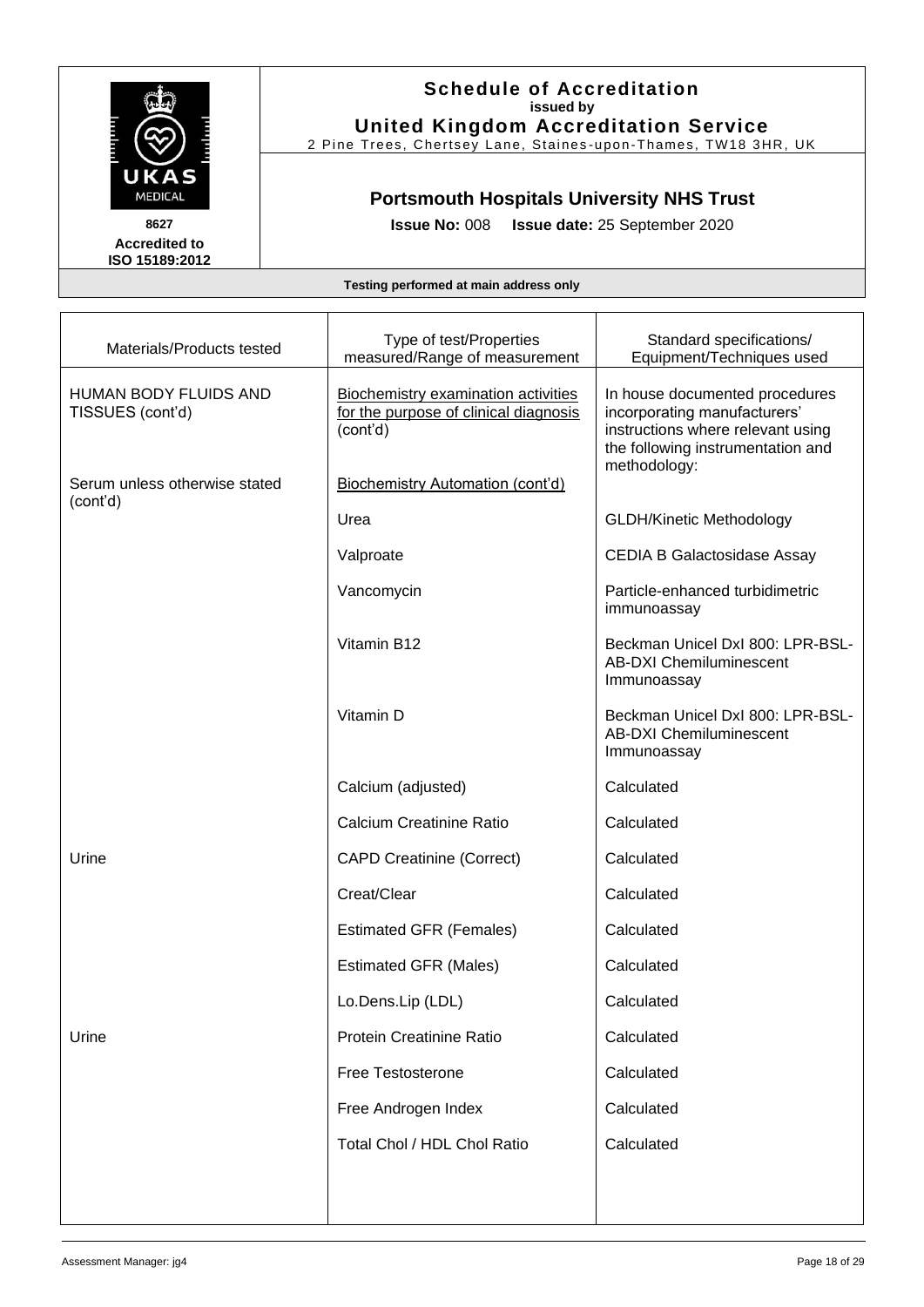

### **Schedule of Accreditation issued by United Kingdom Accreditation Service**

2 Pine Trees, Chertsey Lane, Staines -upon -Thames, TW18 3HR, UK

## **Portsmouth Hospitals University NHS Trust**

**Issue No:** 008 **Issue date:** 25 September 2020

| Materials/Products tested                 | Type of test/Properties<br>measured/Range of measurement                                        | Standard specifications/<br>Equipment/Techniques used                                                                                                    |
|-------------------------------------------|-------------------------------------------------------------------------------------------------|----------------------------------------------------------------------------------------------------------------------------------------------------------|
| HUMAN BODY FLUIDS AND<br>TISSUES (cont'd) | <b>Biochemistry examination activities</b><br>for the purpose of clinical diagnosis<br>(cont'd) | In house documented procedures<br>incorporating manufacturers'<br>instructions where relevant using<br>the following instrumentation and<br>methodology: |
| Serum unless otherwise stated<br>(cont'd) | Biochemistry Automation (cont'd)                                                                |                                                                                                                                                          |
|                                           | Urea                                                                                            | <b>GLDH/Kinetic Methodology</b>                                                                                                                          |
|                                           | Valproate                                                                                       | <b>CEDIA B Galactosidase Assay</b>                                                                                                                       |
|                                           | Vancomycin                                                                                      | Particle-enhanced turbidimetric<br>immunoassay                                                                                                           |
|                                           | Vitamin B12                                                                                     | Beckman Unicel DxI 800: LPR-BSL-<br><b>AB-DXI Chemiluminescent</b><br>Immunoassay                                                                        |
|                                           | Vitamin D                                                                                       | Beckman Unicel DxI 800: LPR-BSL-<br><b>AB-DXI Chemiluminescent</b><br>Immunoassay                                                                        |
|                                           | Calcium (adjusted)                                                                              | Calculated                                                                                                                                               |
|                                           | <b>Calcium Creatinine Ratio</b>                                                                 | Calculated                                                                                                                                               |
| Urine                                     | <b>CAPD Creatinine (Correct)</b>                                                                | Calculated                                                                                                                                               |
|                                           | Creat/Clear                                                                                     | Calculated                                                                                                                                               |
|                                           | <b>Estimated GFR (Females)</b>                                                                  | Calculated                                                                                                                                               |
|                                           | <b>Estimated GFR (Males)</b>                                                                    | Calculated                                                                                                                                               |
|                                           | Lo.Dens.Lip (LDL)                                                                               | Calculated                                                                                                                                               |
| Urine                                     | <b>Protein Creatinine Ratio</b>                                                                 | Calculated                                                                                                                                               |
|                                           | Free Testosterone                                                                               | Calculated                                                                                                                                               |
|                                           | Free Androgen Index                                                                             | Calculated                                                                                                                                               |
|                                           | Total Chol / HDL Chol Ratio                                                                     | Calculated                                                                                                                                               |
|                                           |                                                                                                 |                                                                                                                                                          |
|                                           |                                                                                                 |                                                                                                                                                          |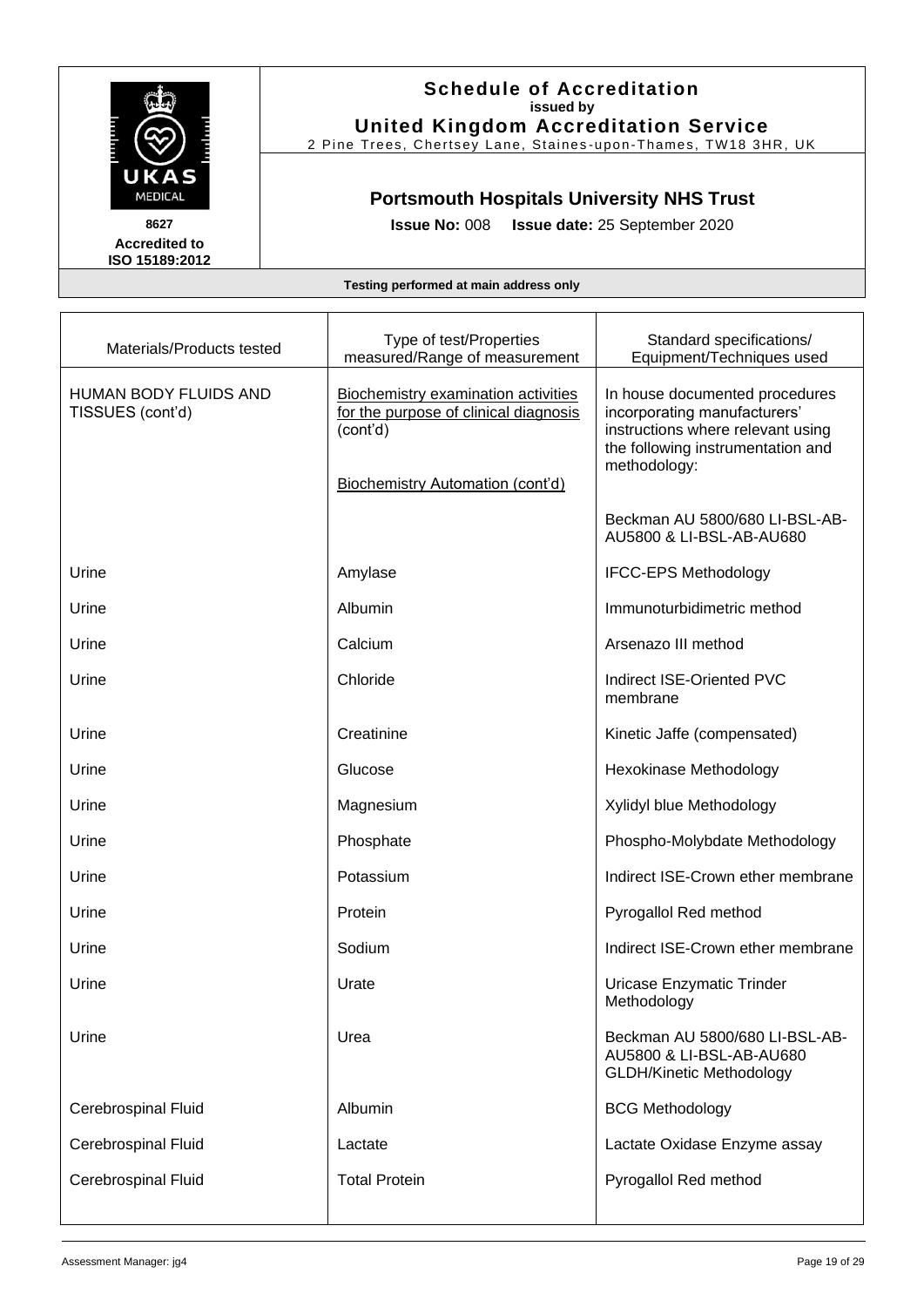

#### **Schedule of Accreditation issued by United Kingdom Accreditation Service**

2 Pine Trees, Chertsey Lane, Staines -upon -Thames, TW18 3HR, UK

### **Portsmouth Hospitals University NHS Trust**

**Issue No:** 008 **Issue date:** 25 September 2020

| Materials/Products tested                        | Type of test/Properties<br>measured/Range of measurement                                                                                   | Standard specifications/<br>Equipment/Techniques used                                                                                                    |
|--------------------------------------------------|--------------------------------------------------------------------------------------------------------------------------------------------|----------------------------------------------------------------------------------------------------------------------------------------------------------|
| <b>HUMAN BODY FLUIDS AND</b><br>TISSUES (cont'd) | <b>Biochemistry examination activities</b><br>for the purpose of clinical diagnosis<br>(cont'd)<br><b>Biochemistry Automation (cont'd)</b> | In house documented procedures<br>incorporating manufacturers'<br>instructions where relevant using<br>the following instrumentation and<br>methodology: |
|                                                  |                                                                                                                                            | Beckman AU 5800/680 LI-BSL-AB-<br>AU5800 & LI-BSL-AB-AU680                                                                                               |
| Urine                                            | Amylase                                                                                                                                    | <b>IFCC-EPS Methodology</b>                                                                                                                              |
| Urine                                            | Albumin                                                                                                                                    | Immunoturbidimetric method                                                                                                                               |
| Urine                                            | Calcium                                                                                                                                    | Arsenazo III method                                                                                                                                      |
| Urine                                            | Chloride                                                                                                                                   | Indirect ISE-Oriented PVC<br>membrane                                                                                                                    |
| Urine                                            | Creatinine                                                                                                                                 | Kinetic Jaffe (compensated)                                                                                                                              |
| Urine                                            | Glucose                                                                                                                                    | Hexokinase Methodology                                                                                                                                   |
| Urine                                            | Magnesium                                                                                                                                  | Xylidyl blue Methodology                                                                                                                                 |
| Urine                                            | Phosphate                                                                                                                                  | Phospho-Molybdate Methodology                                                                                                                            |
| Urine                                            | Potassium                                                                                                                                  | Indirect ISE-Crown ether membrane                                                                                                                        |
| Urine                                            | Protein                                                                                                                                    | Pyrogallol Red method                                                                                                                                    |
| Urine                                            | Sodium                                                                                                                                     | Indirect ISE-Crown ether membrane                                                                                                                        |
| Urine                                            | Urate                                                                                                                                      | Uricase Enzymatic Trinder<br>Methodology                                                                                                                 |
| Urine                                            | Urea                                                                                                                                       | Beckman AU 5800/680 LI-BSL-AB-<br>AU5800 & LI-BSL-AB-AU680<br><b>GLDH/Kinetic Methodology</b>                                                            |
| Cerebrospinal Fluid                              | Albumin                                                                                                                                    | <b>BCG Methodology</b>                                                                                                                                   |
| Cerebrospinal Fluid                              | Lactate                                                                                                                                    | Lactate Oxidase Enzyme assay                                                                                                                             |
| Cerebrospinal Fluid                              | <b>Total Protein</b>                                                                                                                       | Pyrogallol Red method                                                                                                                                    |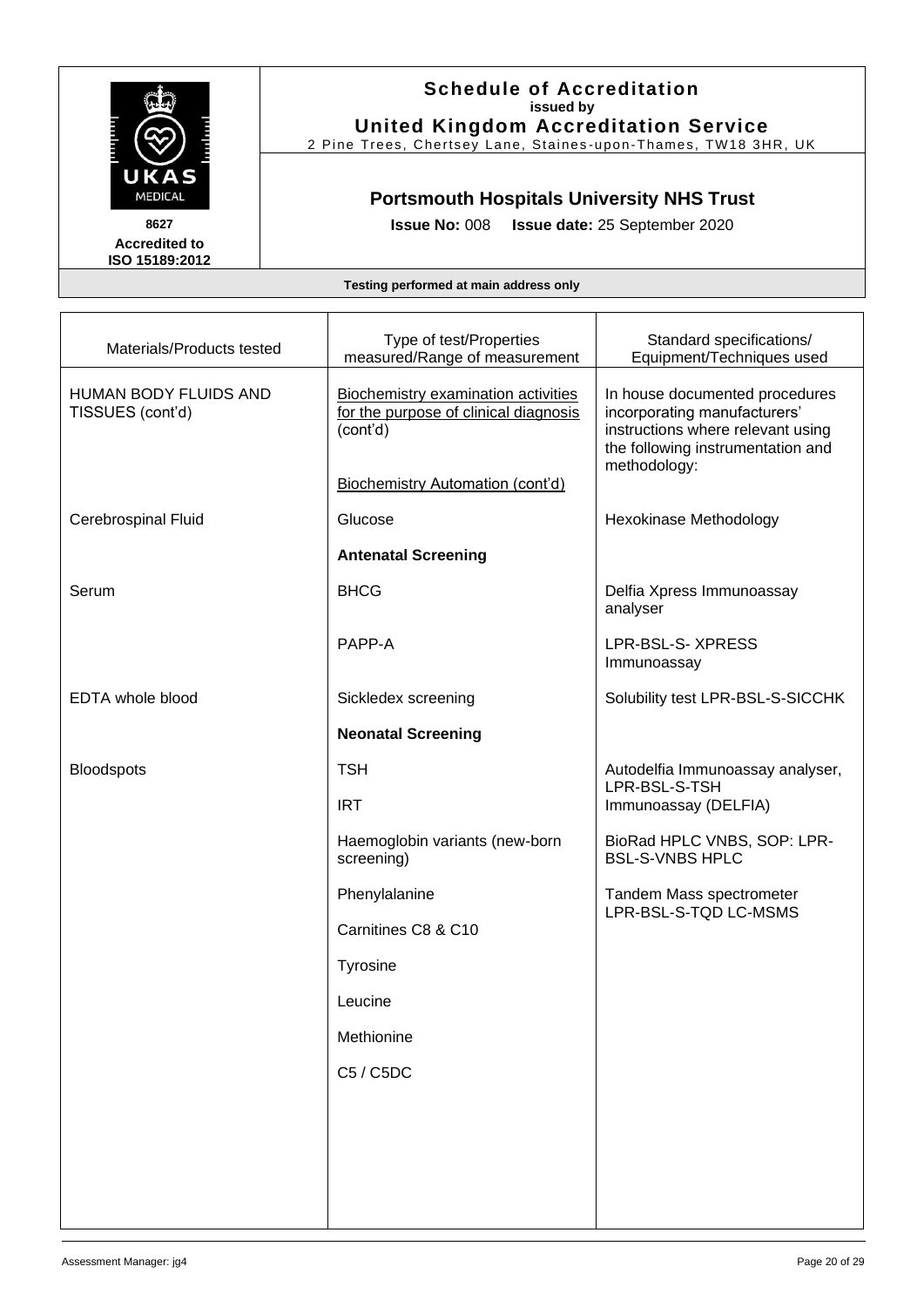

### **Schedule of Accreditation issued by United Kingdom Accreditation Service**

2 Pine Trees, Chertsey Lane, Staines -upon -Thames, TW18 3HR, UK

## **Portsmouth Hospitals University NHS Trust**

**Issue No:** 008 **Issue date:** 25 September 2020

| Materials/Products tested                        | Type of test/Properties<br>measured/Range of measurement                                        | Standard specifications/<br>Equipment/Techniques used                                                                                                    |
|--------------------------------------------------|-------------------------------------------------------------------------------------------------|----------------------------------------------------------------------------------------------------------------------------------------------------------|
| <b>HUMAN BODY FLUIDS AND</b><br>TISSUES (cont'd) | <b>Biochemistry examination activities</b><br>for the purpose of clinical diagnosis<br>(cont'd) | In house documented procedures<br>incorporating manufacturers'<br>instructions where relevant using<br>the following instrumentation and<br>methodology: |
|                                                  | <b>Biochemistry Automation (cont'd)</b>                                                         |                                                                                                                                                          |
| <b>Cerebrospinal Fluid</b>                       | Glucose                                                                                         | Hexokinase Methodology                                                                                                                                   |
|                                                  | <b>Antenatal Screening</b>                                                                      |                                                                                                                                                          |
| Serum                                            | <b>BHCG</b>                                                                                     | Delfia Xpress Immunoassay<br>analyser                                                                                                                    |
|                                                  | PAPP-A                                                                                          | LPR-BSL-S- XPRESS<br>Immunoassay                                                                                                                         |
| <b>EDTA</b> whole blood                          | Sickledex screening                                                                             | Solubility test LPR-BSL-S-SICCHK                                                                                                                         |
|                                                  | <b>Neonatal Screening</b>                                                                       |                                                                                                                                                          |
| <b>Bloodspots</b>                                | <b>TSH</b>                                                                                      | Autodelfia Immunoassay analyser,<br>LPR-BSL-S-TSH                                                                                                        |
|                                                  | <b>IRT</b>                                                                                      | Immunoassay (DELFIA)                                                                                                                                     |
|                                                  | Haemoglobin variants (new-born<br>screening)                                                    | BioRad HPLC VNBS, SOP: LPR-<br><b>BSL-S-VNBS HPLC</b>                                                                                                    |
|                                                  | Phenylalanine                                                                                   | Tandem Mass spectrometer<br>LPR-BSL-S-TQD LC-MSMS                                                                                                        |
|                                                  | Carnitines C8 & C10                                                                             |                                                                                                                                                          |
|                                                  | <b>Tyrosine</b>                                                                                 |                                                                                                                                                          |
|                                                  | Leucine                                                                                         |                                                                                                                                                          |
|                                                  | Methionine                                                                                      |                                                                                                                                                          |
|                                                  | C5 / C5DC                                                                                       |                                                                                                                                                          |
|                                                  |                                                                                                 |                                                                                                                                                          |
|                                                  |                                                                                                 |                                                                                                                                                          |
|                                                  |                                                                                                 |                                                                                                                                                          |
|                                                  |                                                                                                 |                                                                                                                                                          |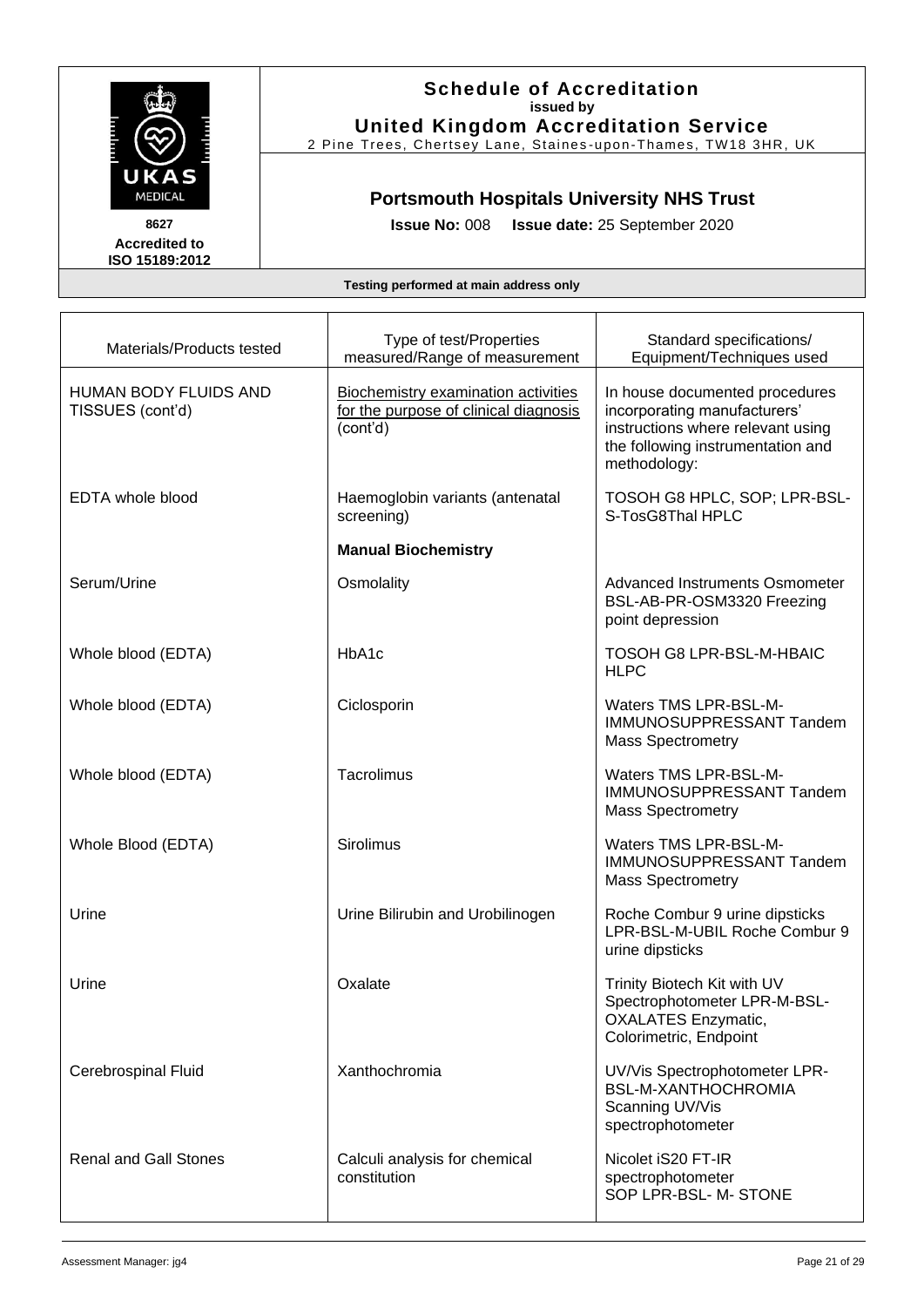

### **Schedule of Accreditation issued by United Kingdom Accreditation Service**

2 Pine Trees, Chertsey Lane, Staines -upon -Thames, TW18 3HR, UK

## **Portsmouth Hospitals University NHS Trust**

**Issue No:** 008 **Issue date:** 25 September 2020

| Materials/Products tested                 | Type of test/Properties<br>measured/Range of measurement                                        | Standard specifications/<br>Equipment/Techniques used                                                                                                    |
|-------------------------------------------|-------------------------------------------------------------------------------------------------|----------------------------------------------------------------------------------------------------------------------------------------------------------|
| HUMAN BODY FLUIDS AND<br>TISSUES (cont'd) | <b>Biochemistry examination activities</b><br>for the purpose of clinical diagnosis<br>(cont'd) | In house documented procedures<br>incorporating manufacturers'<br>instructions where relevant using<br>the following instrumentation and<br>methodology: |
| <b>EDTA whole blood</b>                   | Haemoglobin variants (antenatal<br>screening)                                                   | TOSOH G8 HPLC, SOP; LPR-BSL-<br>S-TosG8Thal HPLC                                                                                                         |
|                                           | <b>Manual Biochemistry</b>                                                                      |                                                                                                                                                          |
| Serum/Urine                               | Osmolality                                                                                      | Advanced Instruments Osmometer<br>BSL-AB-PR-OSM3320 Freezing<br>point depression                                                                         |
| Whole blood (EDTA)                        | HbA1c                                                                                           | TOSOH G8 LPR-BSL-M-HBAIC<br><b>HLPC</b>                                                                                                                  |
| Whole blood (EDTA)                        | Ciclosporin                                                                                     | Waters TMS LPR-BSL-M-<br>IMMUNOSUPPRESSANT Tandem<br><b>Mass Spectrometry</b>                                                                            |
| Whole blood (EDTA)                        | Tacrolimus                                                                                      | Waters TMS LPR-BSL-M-<br>IMMUNOSUPPRESSANT Tandem<br><b>Mass Spectrometry</b>                                                                            |
| Whole Blood (EDTA)                        | Sirolimus                                                                                       | Waters TMS LPR-BSL-M-<br>IMMUNOSUPPRESSANT Tandem<br><b>Mass Spectrometry</b>                                                                            |
| Urine                                     | Urine Bilirubin and Urobilinogen                                                                | Roche Combur 9 urine dipsticks<br>LPR-BSL-M-UBIL Roche Combur 9<br>urine dipsticks                                                                       |
| Urine                                     | Oxalate                                                                                         | Trinity Biotech Kit with UV<br>Spectrophotometer LPR-M-BSL-<br><b>OXALATES Enzymatic,</b><br>Colorimetric, Endpoint                                      |
| <b>Cerebrospinal Fluid</b>                | Xanthochromia                                                                                   | UV/Vis Spectrophotometer LPR-<br><b>BSL-M-XANTHOCHROMIA</b><br>Scanning UV/Vis<br>spectrophotometer                                                      |
| <b>Renal and Gall Stones</b>              | Calculi analysis for chemical<br>constitution                                                   | Nicolet iS20 FT-IR<br>spectrophotometer<br>SOP LPR-BSL- M- STONE                                                                                         |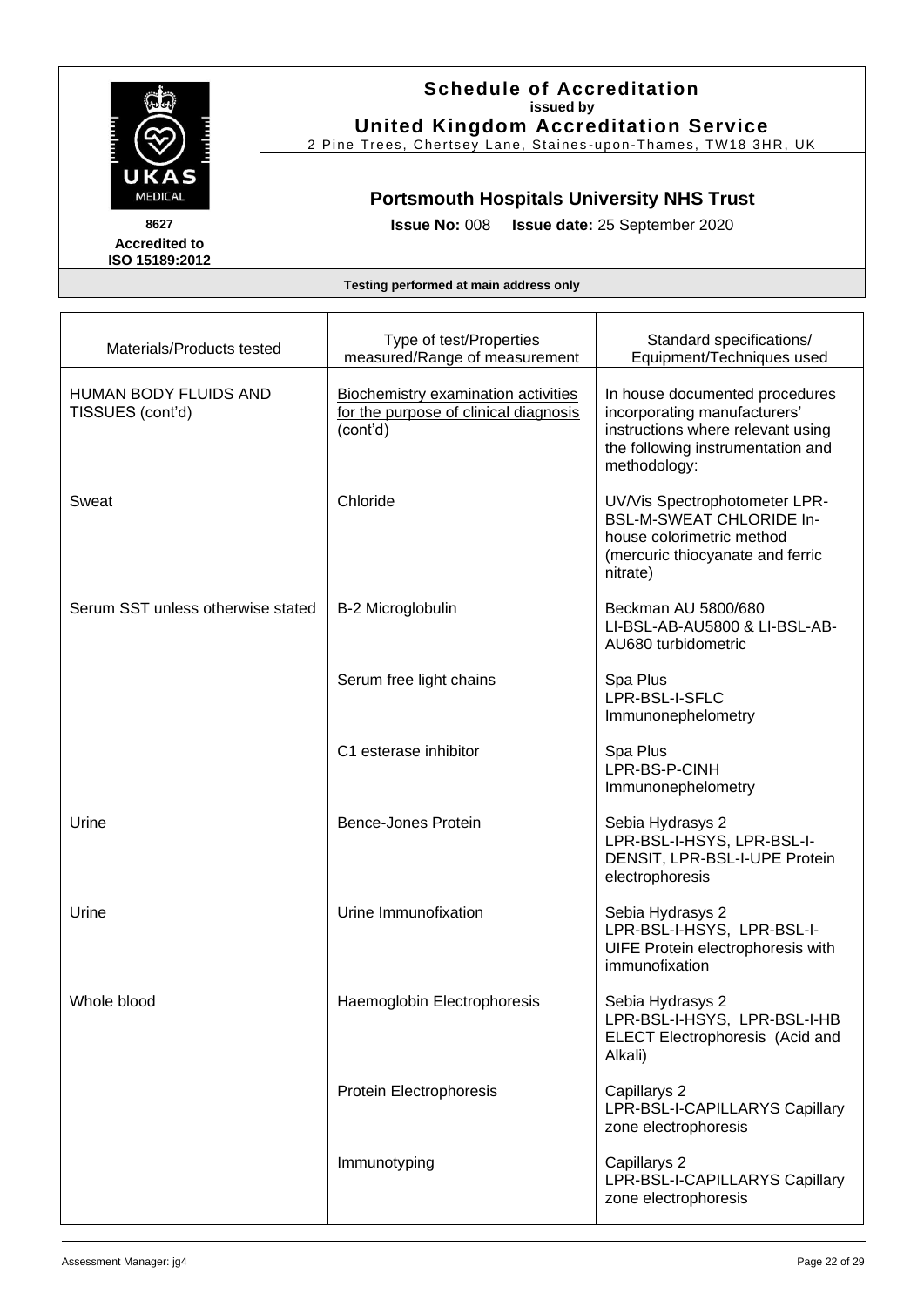

#### **Schedule of Accreditation issued by United Kingdom Accreditation Service**

2 Pine Trees, Chertsey Lane, Staines -upon -Thames, TW18 3HR, UK

## **Portsmouth Hospitals University NHS Trust**

**Issue No:** 008 **Issue date:** 25 September 2020

| Materials/Products tested                 | Type of test/Properties<br>measured/Range of measurement                                 | Standard specifications/<br>Equipment/Techniques used                                                                                                    |
|-------------------------------------------|------------------------------------------------------------------------------------------|----------------------------------------------------------------------------------------------------------------------------------------------------------|
| HUMAN BODY FLUIDS AND<br>TISSUES (cont'd) | Biochemistry examination activities<br>for the purpose of clinical diagnosis<br>(cont'd) | In house documented procedures<br>incorporating manufacturers'<br>instructions where relevant using<br>the following instrumentation and<br>methodology: |
| Sweat                                     | Chloride                                                                                 | UV/Vis Spectrophotometer LPR-<br><b>BSL-M-SWEAT CHLORIDE In-</b><br>house colorimetric method<br>(mercuric thiocyanate and ferric<br>nitrate)            |
| Serum SST unless otherwise stated         | B-2 Microglobulin                                                                        | Beckman AU 5800/680<br>LI-BSL-AB-AU5800 & LI-BSL-AB-<br>AU680 turbidometric                                                                              |
|                                           | Serum free light chains                                                                  | Spa Plus<br>LPR-BSL-I-SFLC<br>Immunonephelometry                                                                                                         |
|                                           | C1 esterase inhibitor                                                                    | Spa Plus<br>LPR-BS-P-CINH<br>Immunonephelometry                                                                                                          |
| Urine                                     | <b>Bence-Jones Protein</b>                                                               | Sebia Hydrasys 2<br>LPR-BSL-I-HSYS, LPR-BSL-I-<br>DENSIT, LPR-BSL-I-UPE Protein<br>electrophoresis                                                       |
| Urine                                     | Urine Immunofixation                                                                     | Sebia Hydrasys 2<br>LPR-BSL-I-HSYS, LPR-BSL-I-<br>UIFE Protein electrophoresis with<br>immunofixation                                                    |
| Whole blood                               | Haemoglobin Electrophoresis                                                              | Sebia Hydrasys 2<br>LPR-BSL-I-HSYS, LPR-BSL-I-HB<br><b>ELECT Electrophoresis (Acid and</b><br>Alkali)                                                    |
|                                           | Protein Electrophoresis                                                                  | Capillarys 2<br>LPR-BSL-I-CAPILLARYS Capillary<br>zone electrophoresis                                                                                   |
|                                           | Immunotyping                                                                             | Capillarys 2<br>LPR-BSL-I-CAPILLARYS Capillary<br>zone electrophoresis                                                                                   |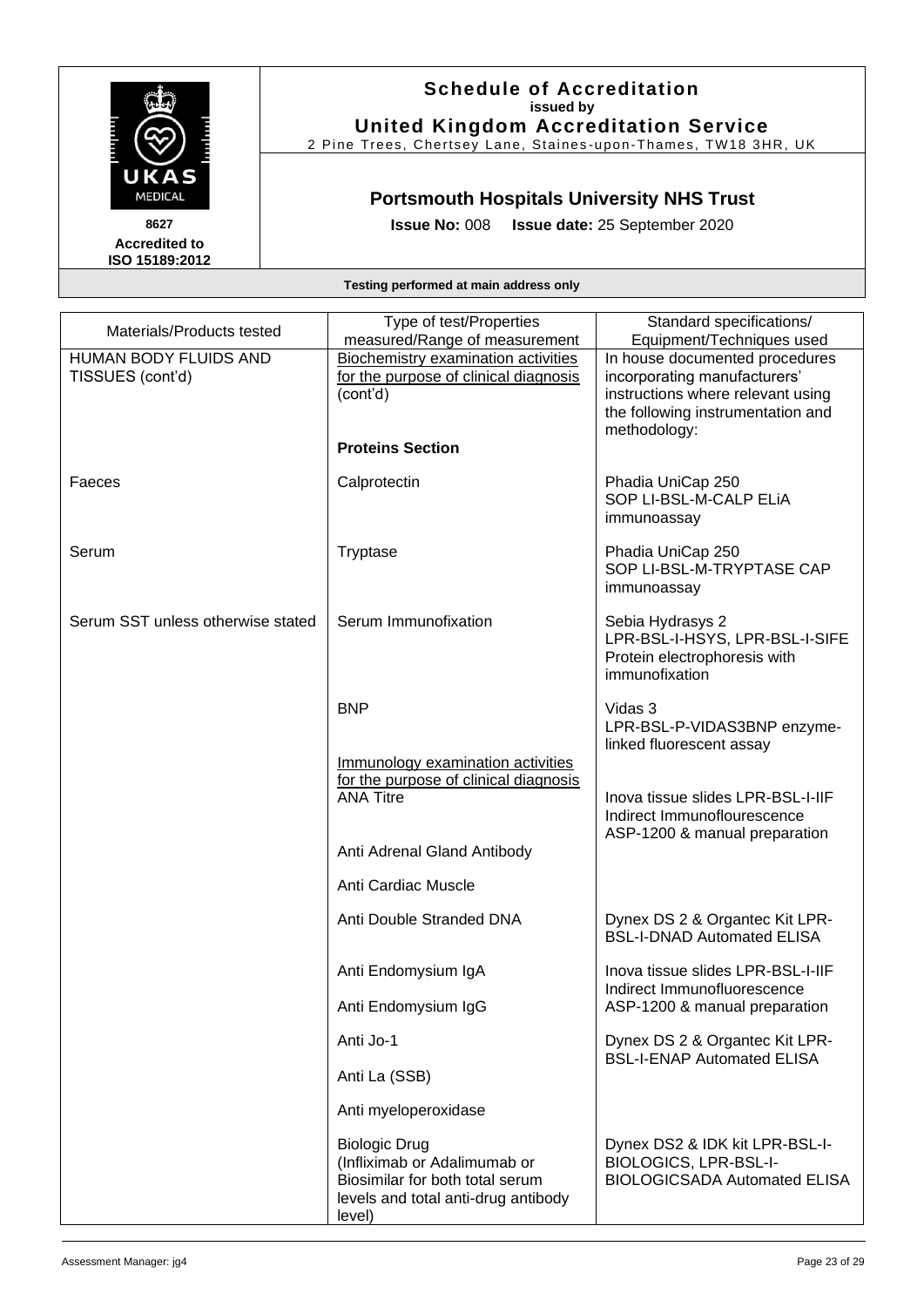

#### **Schedule of Accreditation issued by United Kingdom Accreditation Service**

2 Pine Trees, Chertsey Lane, Staines -upon -Thames, TW18 3HR, UK

## **Portsmouth Hospitals University NHS Trust**

**Issue No:** 008 **Issue date:** 25 September 2020

**Accredited to ISO 15189:2012** 

| Materials/Products tested                        | Type of test/Properties<br>measured/Range of measurement                                                                                 | Standard specifications/<br>Equipment/Techniques used                                                                                                    |
|--------------------------------------------------|------------------------------------------------------------------------------------------------------------------------------------------|----------------------------------------------------------------------------------------------------------------------------------------------------------|
| <b>HUMAN BODY FLUIDS AND</b><br>TISSUES (cont'd) | <b>Biochemistry examination activities</b><br>for the purpose of clinical diagnosis<br>(cont'd)                                          | In house documented procedures<br>incorporating manufacturers'<br>instructions where relevant using<br>the following instrumentation and<br>methodology: |
|                                                  | <b>Proteins Section</b>                                                                                                                  |                                                                                                                                                          |
| Faeces                                           | Calprotectin                                                                                                                             | Phadia UniCap 250<br>SOP LI-BSL-M-CALP ELIA<br>immunoassay                                                                                               |
| Serum                                            | Tryptase                                                                                                                                 | Phadia UniCap 250<br>SOP LI-BSL-M-TRYPTASE CAP<br>immunoassay                                                                                            |
| Serum SST unless otherwise stated                | Serum Immunofixation                                                                                                                     | Sebia Hydrasys 2<br>LPR-BSL-I-HSYS, LPR-BSL-I-SIFE<br>Protein electrophoresis with<br>immunofixation                                                     |
|                                                  | <b>BNP</b>                                                                                                                               | Vidas 3<br>LPR-BSL-P-VIDAS3BNP enzyme-<br>linked fluorescent assay                                                                                       |
|                                                  | Immunology examination activities<br>for the purpose of clinical diagnosis<br><b>ANA Titre</b>                                           | Inova tissue slides LPR-BSL-I-IIF<br>Indirect Immunoflourescence<br>ASP-1200 & manual preparation                                                        |
|                                                  | Anti Adrenal Gland Antibody                                                                                                              |                                                                                                                                                          |
|                                                  | Anti Cardiac Muscle                                                                                                                      |                                                                                                                                                          |
|                                                  | Anti Double Stranded DNA                                                                                                                 | Dynex DS 2 & Organtec Kit LPR-<br><b>BSL-I-DNAD Automated ELISA</b>                                                                                      |
|                                                  | Anti Endomysium IgA                                                                                                                      | Inova tissue slides LPR-BSL-I-IIF<br>Indirect Immunofluorescence                                                                                         |
|                                                  | Anti Endomysium IgG                                                                                                                      | ASP-1200 & manual preparation                                                                                                                            |
|                                                  | Anti Jo-1                                                                                                                                | Dynex DS 2 & Organtec Kit LPR-<br><b>BSL-I-ENAP Automated ELISA</b>                                                                                      |
|                                                  | Anti La (SSB)                                                                                                                            |                                                                                                                                                          |
|                                                  | Anti myeloperoxidase                                                                                                                     |                                                                                                                                                          |
|                                                  | <b>Biologic Drug</b><br>(Infliximab or Adalimumab or<br>Biosimilar for both total serum<br>levels and total anti-drug antibody<br>level) | Dynex DS2 & IDK kit LPR-BSL-I-<br><b>BIOLOGICS, LPR-BSL-I-</b><br><b>BIOLOGICSADA Automated ELISA</b>                                                    |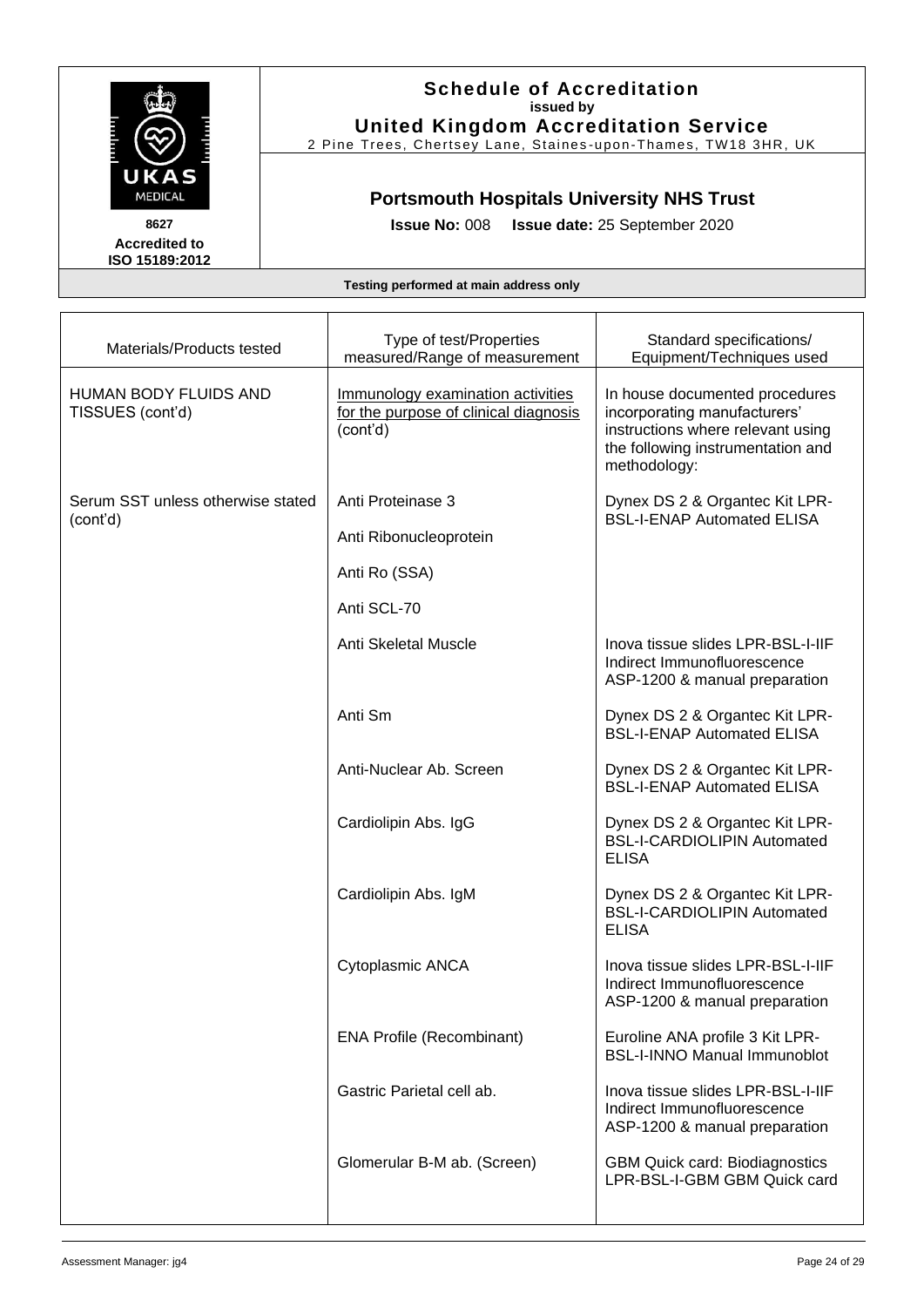

#### **Schedule of Accreditation issued by United Kingdom Accreditation Service**

2 Pine Trees, Chertsey Lane, Staines -upon -Thames, TW18 3HR, UK

## **Portsmouth Hospitals University NHS Trust**

**Issue No:** 008 **Issue date:** 25 September 2020

| Materials/Products tested                     | Type of test/Properties<br>measured/Range of measurement                               | Standard specifications/<br>Equipment/Techniques used                                                                                                    |
|-----------------------------------------------|----------------------------------------------------------------------------------------|----------------------------------------------------------------------------------------------------------------------------------------------------------|
| HUMAN BODY FLUIDS AND<br>TISSUES (cont'd)     | Immunology examination activities<br>for the purpose of clinical diagnosis<br>(cont'd) | In house documented procedures<br>incorporating manufacturers'<br>instructions where relevant using<br>the following instrumentation and<br>methodology: |
| Serum SST unless otherwise stated<br>(cont'd) | Anti Proteinase 3<br>Anti Ribonucleoprotein<br>Anti Ro (SSA)                           | Dynex DS 2 & Organtec Kit LPR-<br><b>BSL-I-ENAP Automated ELISA</b>                                                                                      |
|                                               | Anti SCL-70                                                                            |                                                                                                                                                          |
|                                               | Anti Skeletal Muscle                                                                   | Inova tissue slides LPR-BSL-I-IIF<br>Indirect Immunofluorescence<br>ASP-1200 & manual preparation                                                        |
|                                               | Anti Sm                                                                                | Dynex DS 2 & Organtec Kit LPR-<br><b>BSL-I-ENAP Automated ELISA</b>                                                                                      |
|                                               | Anti-Nuclear Ab. Screen                                                                | Dynex DS 2 & Organtec Kit LPR-<br><b>BSL-I-ENAP Automated ELISA</b>                                                                                      |
|                                               | Cardiolipin Abs. IgG                                                                   | Dynex DS 2 & Organtec Kit LPR-<br><b>BSL-I-CARDIOLIPIN Automated</b><br><b>ELISA</b>                                                                     |
|                                               | Cardiolipin Abs. IgM                                                                   | Dynex DS 2 & Organtec Kit LPR-<br><b>BSL-I-CARDIOLIPIN Automated</b><br><b>ELISA</b>                                                                     |
|                                               | Cytoplasmic ANCA                                                                       | Inova tissue slides LPR-BSL-I-IIF<br>Indirect Immunofluorescence<br>ASP-1200 & manual preparation                                                        |
|                                               | <b>ENA Profile (Recombinant)</b>                                                       | Euroline ANA profile 3 Kit LPR-<br><b>BSL-I-INNO Manual Immunoblot</b>                                                                                   |
|                                               | Gastric Parietal cell ab.                                                              | Inova tissue slides LPR-BSL-I-IIF<br>Indirect Immunofluorescence<br>ASP-1200 & manual preparation                                                        |
|                                               | Glomerular B-M ab. (Screen)                                                            | <b>GBM Quick card: Biodiagnostics</b><br>LPR-BSL-I-GBM GBM Quick card                                                                                    |
|                                               |                                                                                        |                                                                                                                                                          |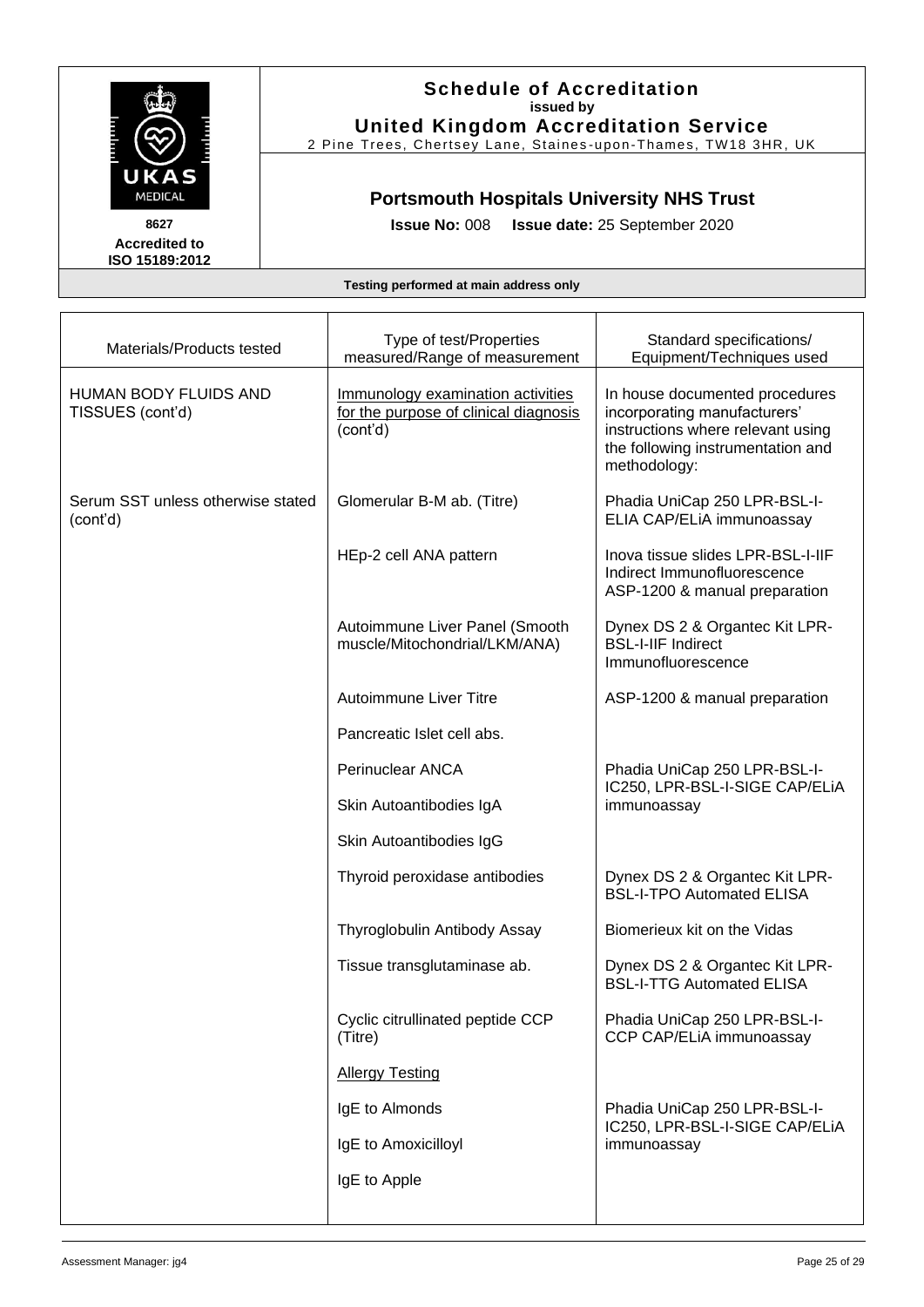

### **Schedule of Accreditation issued by United Kingdom Accreditation Service**

2 Pine Trees, Chertsey Lane, Staines -upon -Thames, TW18 3HR, UK

### **Portsmouth Hospitals University NHS Trust**

**Issue No:** 008 **Issue date:** 25 September 2020

| Materials/Products tested                     | Type of test/Properties<br>measured/Range of measurement                               | Standard specifications/<br>Equipment/Techniques used                                                                                                    |
|-----------------------------------------------|----------------------------------------------------------------------------------------|----------------------------------------------------------------------------------------------------------------------------------------------------------|
| HUMAN BODY FLUIDS AND<br>TISSUES (cont'd)     | Immunology examination activities<br>for the purpose of clinical diagnosis<br>(cont'd) | In house documented procedures<br>incorporating manufacturers'<br>instructions where relevant using<br>the following instrumentation and<br>methodology: |
| Serum SST unless otherwise stated<br>(cont'd) | Glomerular B-M ab. (Titre)                                                             | Phadia UniCap 250 LPR-BSL-I-<br>ELIA CAP/ELIA immunoassay                                                                                                |
|                                               | HEp-2 cell ANA pattern                                                                 | Inova tissue slides LPR-BSL-I-IIF<br>Indirect Immunofluorescence<br>ASP-1200 & manual preparation                                                        |
|                                               | Autoimmune Liver Panel (Smooth<br>muscle/Mitochondrial/LKM/ANA)                        | Dynex DS 2 & Organtec Kit LPR-<br><b>BSL-I-IIF Indirect</b><br>Immunofluorescence                                                                        |
|                                               | <b>Autoimmune Liver Titre</b>                                                          | ASP-1200 & manual preparation                                                                                                                            |
|                                               | Pancreatic Islet cell abs.                                                             |                                                                                                                                                          |
|                                               | Perinuclear ANCA                                                                       | Phadia UniCap 250 LPR-BSL-I-<br>IC250, LPR-BSL-I-SIGE CAP/ELIA                                                                                           |
|                                               | Skin Autoantibodies IgA                                                                | immunoassay                                                                                                                                              |
|                                               | Skin Autoantibodies IgG                                                                |                                                                                                                                                          |
|                                               | Thyroid peroxidase antibodies                                                          | Dynex DS 2 & Organtec Kit LPR-<br><b>BSL-I-TPO Automated ELISA</b>                                                                                       |
|                                               | Thyroglobulin Antibody Assay                                                           | Biomerieux kit on the Vidas                                                                                                                              |
|                                               | Tissue transglutaminase ab.                                                            | Dynex DS 2 & Organtec Kit LPR-<br><b>BSL-I-TTG Automated ELISA</b>                                                                                       |
|                                               | Cyclic citrullinated peptide CCP<br>(Titre)                                            | Phadia UniCap 250 LPR-BSL-I-<br>CCP CAP/ELiA immunoassay                                                                                                 |
|                                               | <b>Allergy Testing</b>                                                                 |                                                                                                                                                          |
|                                               | IgE to Almonds                                                                         | Phadia UniCap 250 LPR-BSL-I-<br>IC250, LPR-BSL-I-SIGE CAP/ELIA                                                                                           |
|                                               | IgE to Amoxicilloyl                                                                    | immunoassay                                                                                                                                              |
|                                               | IgE to Apple                                                                           |                                                                                                                                                          |
|                                               |                                                                                        |                                                                                                                                                          |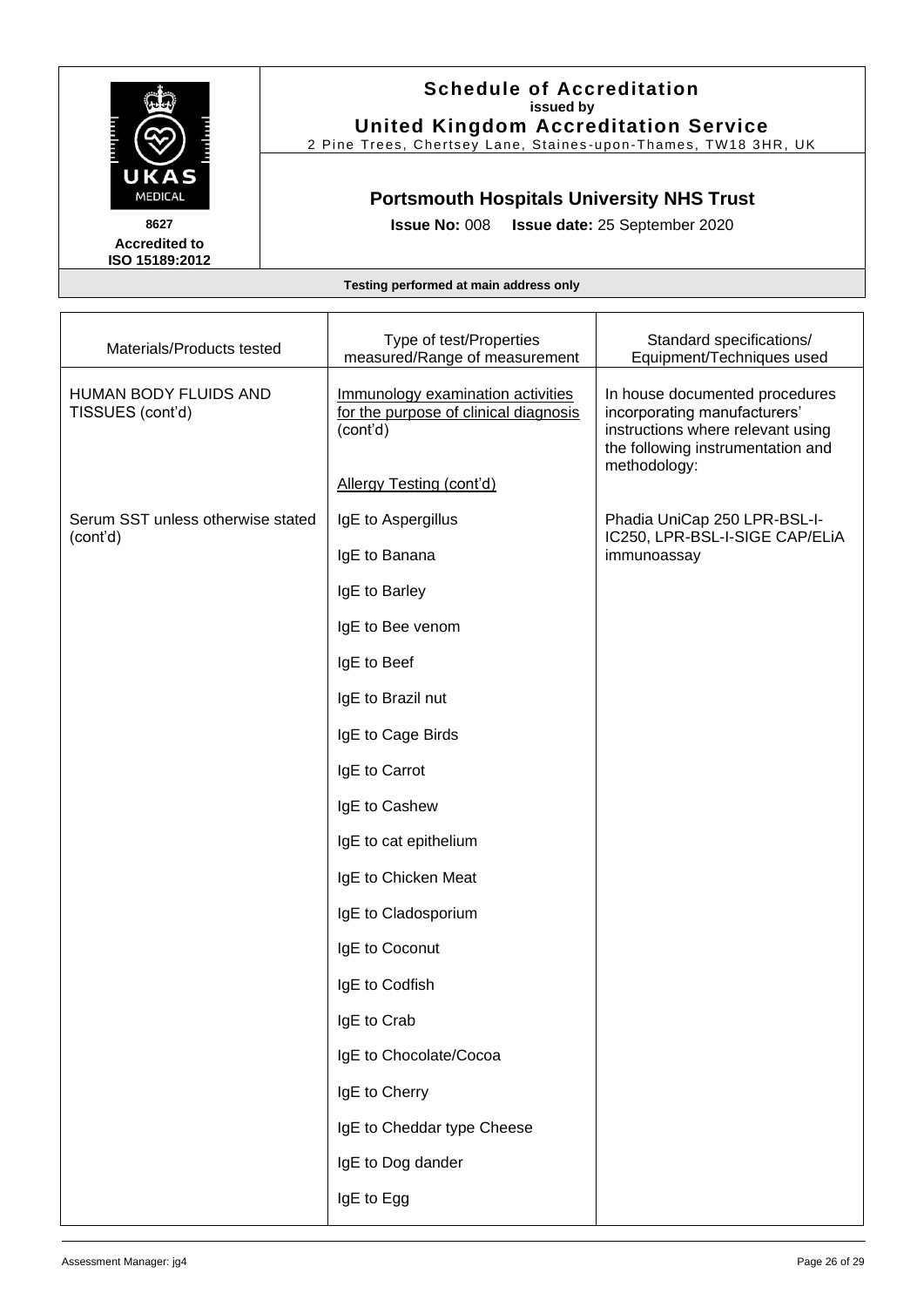

#### **Schedule of Accreditation issued by United Kingdom Accreditation Service**

2 Pine Trees, Chertsey Lane, Staines -upon -Thames, TW18 3HR, UK

## **Portsmouth Hospitals University NHS Trust**

**Issue No:** 008 **Issue date:** 25 September 2020

| Materials/Products tested                        | Type of test/Properties<br>measured/Range of measurement                               | Standard specifications/<br>Equipment/Techniques used                                                                                                    |
|--------------------------------------------------|----------------------------------------------------------------------------------------|----------------------------------------------------------------------------------------------------------------------------------------------------------|
| <b>HUMAN BODY FLUIDS AND</b><br>TISSUES (cont'd) | Immunology examination activities<br>for the purpose of clinical diagnosis<br>(cont'd) | In house documented procedures<br>incorporating manufacturers'<br>instructions where relevant using<br>the following instrumentation and<br>methodology: |
|                                                  | Allergy Testing (cont'd)                                                               |                                                                                                                                                          |
| Serum SST unless otherwise stated<br>(cont'd)    | IgE to Aspergillus                                                                     | Phadia UniCap 250 LPR-BSL-I-<br>IC250, LPR-BSL-I-SIGE CAP/ELIA                                                                                           |
|                                                  | IgE to Banana                                                                          | immunoassay                                                                                                                                              |
|                                                  | IgE to Barley                                                                          |                                                                                                                                                          |
|                                                  | IgE to Bee venom                                                                       |                                                                                                                                                          |
|                                                  | IgE to Beef                                                                            |                                                                                                                                                          |
|                                                  | IgE to Brazil nut                                                                      |                                                                                                                                                          |
|                                                  | IgE to Cage Birds                                                                      |                                                                                                                                                          |
|                                                  | IgE to Carrot                                                                          |                                                                                                                                                          |
|                                                  | IgE to Cashew                                                                          |                                                                                                                                                          |
|                                                  | IgE to cat epithelium                                                                  |                                                                                                                                                          |
|                                                  | IgE to Chicken Meat                                                                    |                                                                                                                                                          |
|                                                  | IgE to Cladosporium                                                                    |                                                                                                                                                          |
|                                                  | IgE to Coconut                                                                         |                                                                                                                                                          |
|                                                  | IgE to Codfish                                                                         |                                                                                                                                                          |
|                                                  | IgE to Crab                                                                            |                                                                                                                                                          |
|                                                  | IgE to Chocolate/Cocoa                                                                 |                                                                                                                                                          |
|                                                  | IgE to Cherry                                                                          |                                                                                                                                                          |
|                                                  | IgE to Cheddar type Cheese                                                             |                                                                                                                                                          |
|                                                  | IgE to Dog dander                                                                      |                                                                                                                                                          |
|                                                  | IgE to Egg                                                                             |                                                                                                                                                          |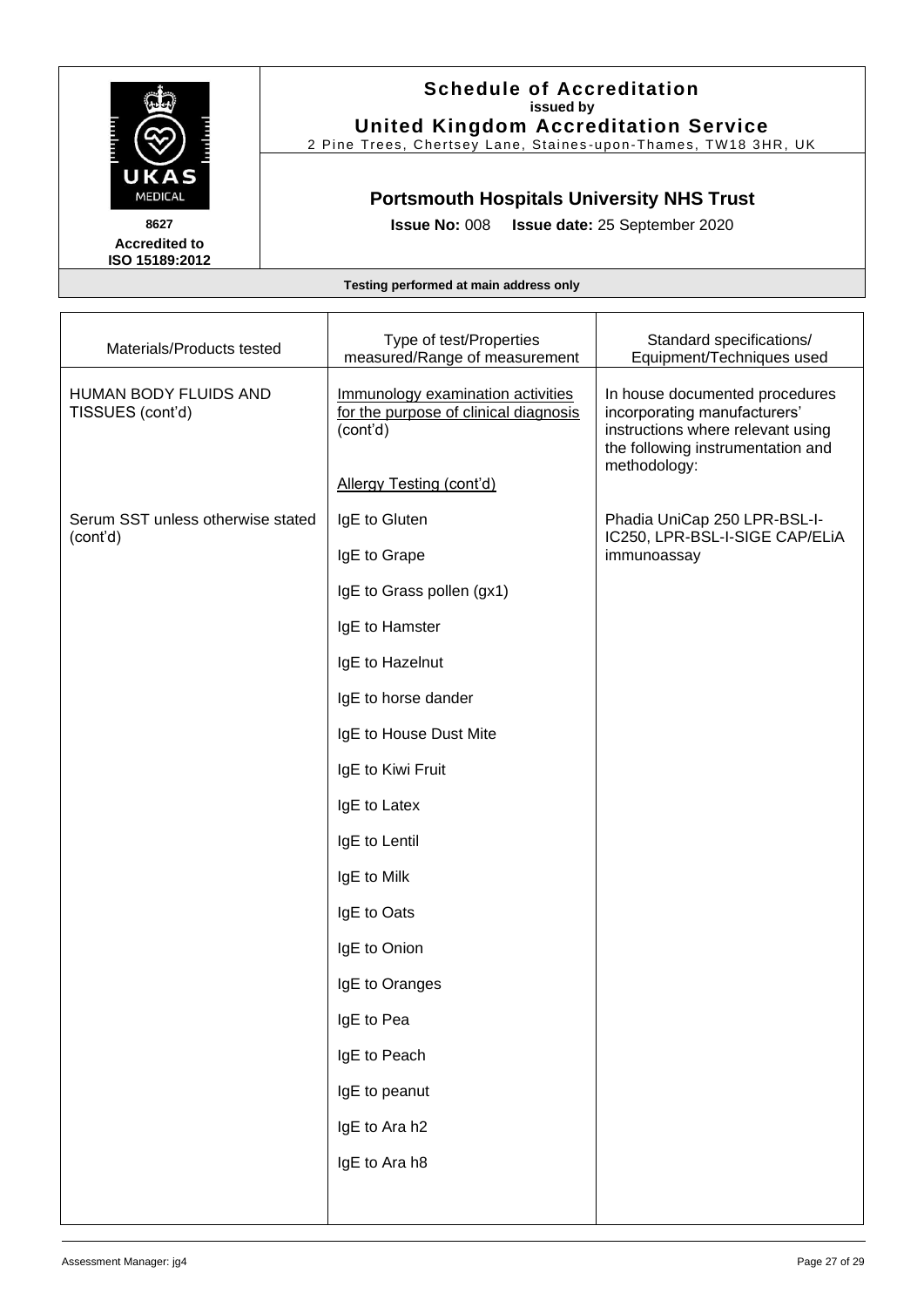

#### **Schedule of Accreditation issued by United Kingdom Accreditation Service**

2 Pine Trees, Chertsey Lane, Staines -upon -Thames, TW18 3HR, UK

## **Portsmouth Hospitals University NHS Trust**

**Issue No:** 008 **Issue date:** 25 September 2020

| Materials/Products tested                     | Type of test/Properties<br>measured/Range of measurement                               | Standard specifications/<br>Equipment/Techniques used                                                                                                    |
|-----------------------------------------------|----------------------------------------------------------------------------------------|----------------------------------------------------------------------------------------------------------------------------------------------------------|
| HUMAN BODY FLUIDS AND<br>TISSUES (cont'd)     | Immunology examination activities<br>for the purpose of clinical diagnosis<br>(cont'd) | In house documented procedures<br>incorporating manufacturers'<br>instructions where relevant using<br>the following instrumentation and<br>methodology: |
|                                               | Allergy Testing (cont'd)                                                               |                                                                                                                                                          |
| Serum SST unless otherwise stated<br>(cont'd) | IgE to Gluten                                                                          | Phadia UniCap 250 LPR-BSL-I-<br>IC250, LPR-BSL-I-SIGE CAP/ELIA<br>immunoassay                                                                            |
|                                               | IgE to Grape                                                                           |                                                                                                                                                          |
|                                               | IgE to Grass pollen (gx1)                                                              |                                                                                                                                                          |
|                                               | IgE to Hamster                                                                         |                                                                                                                                                          |
|                                               | IgE to Hazelnut                                                                        |                                                                                                                                                          |
|                                               | IgE to horse dander                                                                    |                                                                                                                                                          |
|                                               | IgE to House Dust Mite                                                                 |                                                                                                                                                          |
|                                               | IgE to Kiwi Fruit                                                                      |                                                                                                                                                          |
|                                               | IgE to Latex                                                                           |                                                                                                                                                          |
|                                               | IgE to Lentil                                                                          |                                                                                                                                                          |
|                                               | IgE to Milk                                                                            |                                                                                                                                                          |
|                                               | IgE to Oats                                                                            |                                                                                                                                                          |
|                                               | IgE to Onion                                                                           |                                                                                                                                                          |
|                                               | IgE to Oranges                                                                         |                                                                                                                                                          |
|                                               | IgE to Pea                                                                             |                                                                                                                                                          |
|                                               | IgE to Peach                                                                           |                                                                                                                                                          |
|                                               | IgE to peanut                                                                          |                                                                                                                                                          |
|                                               | IgE to Ara h2                                                                          |                                                                                                                                                          |
|                                               | IgE to Ara h8                                                                          |                                                                                                                                                          |
|                                               |                                                                                        |                                                                                                                                                          |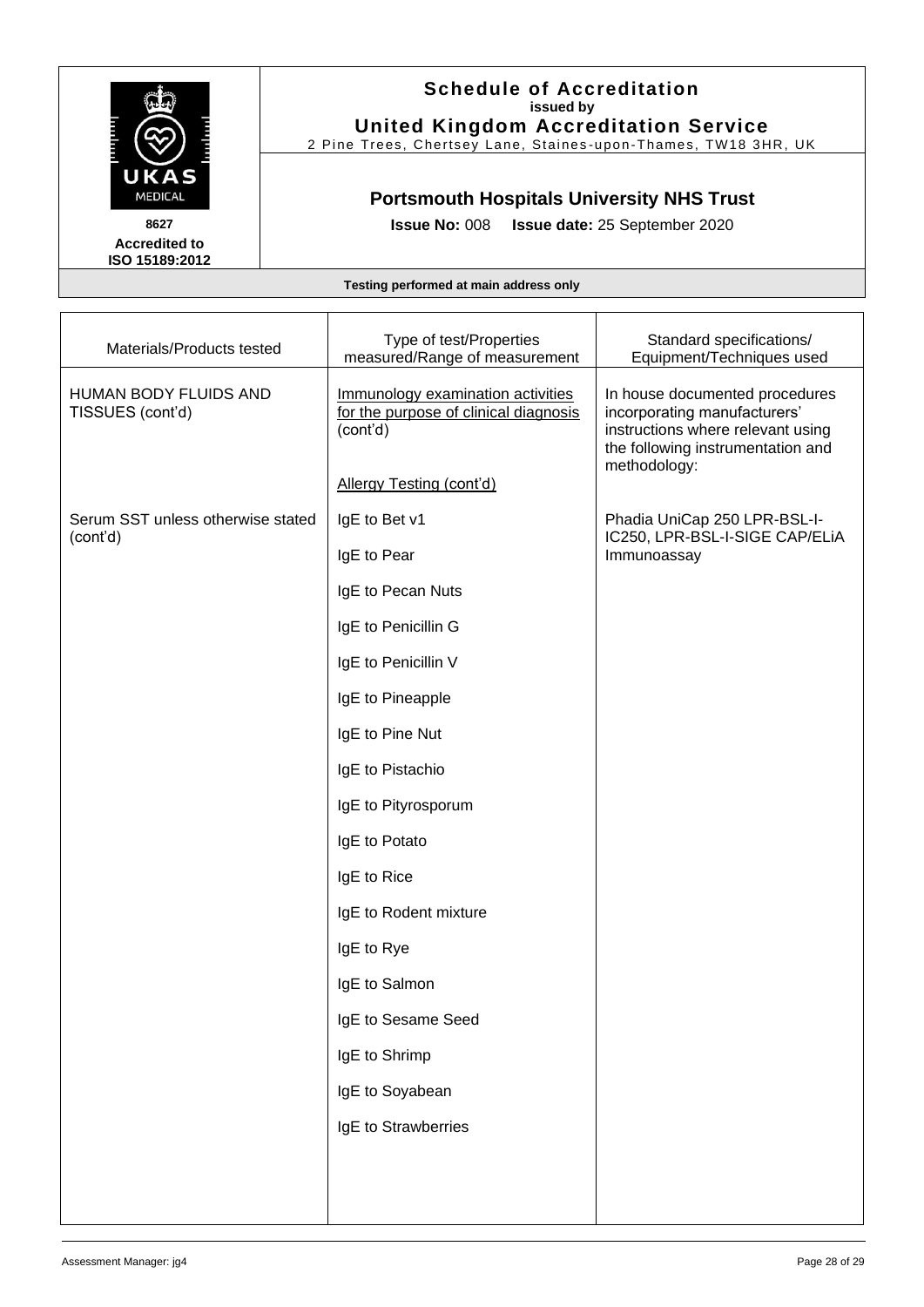

#### **Schedule of Accreditation issued by United Kingdom Accreditation Service**

2 Pine Trees, Chertsey Lane, Staines -upon -Thames, TW18 3HR, UK

## **Portsmouth Hospitals University NHS Trust**

**Issue No:** 008 **Issue date:** 25 September 2020

| Materials/Products tested                     | Type of test/Properties<br>measured/Range of measurement                               | Standard specifications/<br>Equipment/Techniques used                                                                                                    |
|-----------------------------------------------|----------------------------------------------------------------------------------------|----------------------------------------------------------------------------------------------------------------------------------------------------------|
| HUMAN BODY FLUIDS AND<br>TISSUES (cont'd)     | Immunology examination activities<br>for the purpose of clinical diagnosis<br>(cont'd) | In house documented procedures<br>incorporating manufacturers'<br>instructions where relevant using<br>the following instrumentation and<br>methodology: |
|                                               | Allergy Testing (cont'd)                                                               |                                                                                                                                                          |
| Serum SST unless otherwise stated<br>(cont'd) | IgE to Bet v1                                                                          | Phadia UniCap 250 LPR-BSL-I-<br>IC250, LPR-BSL-I-SIGE CAP/ELIA<br>Immunoassay                                                                            |
|                                               | IgE to Pear                                                                            |                                                                                                                                                          |
|                                               | IgE to Pecan Nuts                                                                      |                                                                                                                                                          |
|                                               | IgE to Penicillin G                                                                    |                                                                                                                                                          |
|                                               | IgE to Penicillin V                                                                    |                                                                                                                                                          |
|                                               | IgE to Pineapple                                                                       |                                                                                                                                                          |
|                                               | IgE to Pine Nut                                                                        |                                                                                                                                                          |
|                                               | IgE to Pistachio                                                                       |                                                                                                                                                          |
|                                               | IgE to Pityrosporum                                                                    |                                                                                                                                                          |
|                                               | IgE to Potato                                                                          |                                                                                                                                                          |
|                                               | IgE to Rice                                                                            |                                                                                                                                                          |
|                                               | IgE to Rodent mixture                                                                  |                                                                                                                                                          |
|                                               | IgE to Rye                                                                             |                                                                                                                                                          |
|                                               | IgE to Salmon                                                                          |                                                                                                                                                          |
|                                               | IgE to Sesame Seed                                                                     |                                                                                                                                                          |
|                                               | IgE to Shrimp                                                                          |                                                                                                                                                          |
|                                               | IgE to Soyabean                                                                        |                                                                                                                                                          |
|                                               | IgE to Strawberries                                                                    |                                                                                                                                                          |
|                                               |                                                                                        |                                                                                                                                                          |
|                                               |                                                                                        |                                                                                                                                                          |